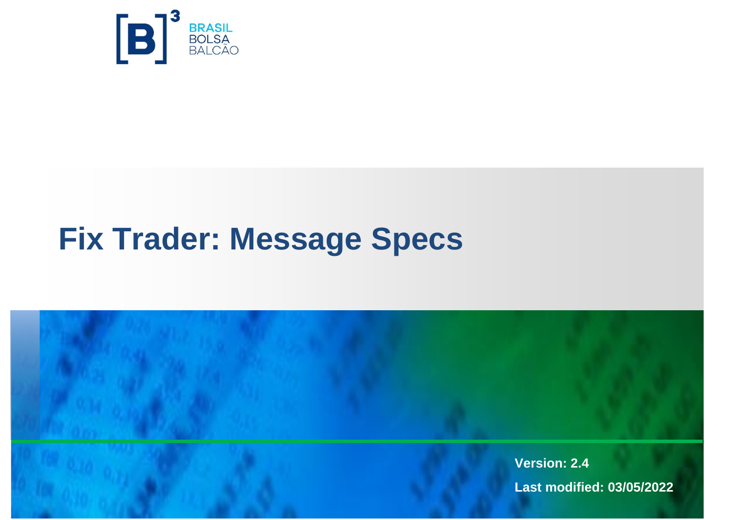

# **Fix Trader: Message Specs**

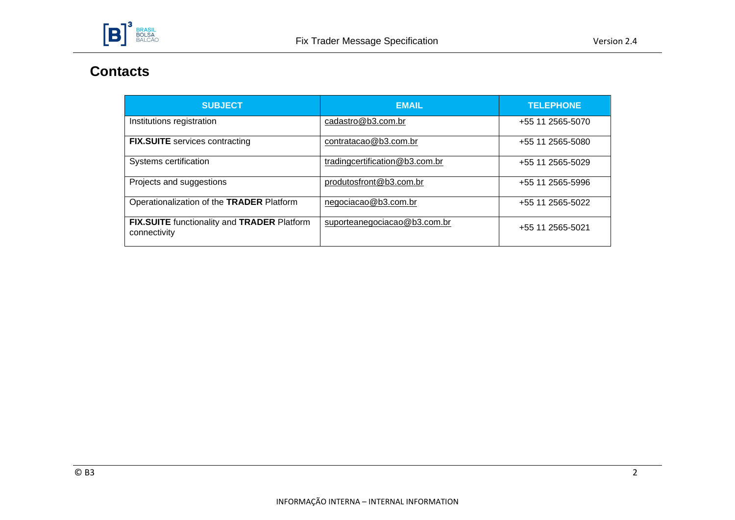

## **Contacts**

| <b>SUBJECT</b>                                              | <b>EMAIL</b>                   | <b>TELEPHONE</b> |
|-------------------------------------------------------------|--------------------------------|------------------|
| Institutions registration                                   | cadastro@b3.com.br             | +55 11 2565-5070 |
| <b>FIX.SUITE</b> services contracting                       | contratacao@b3.com.br          | +55 11 2565-5080 |
| Systems certification                                       | tradingcertification@b3.com.br | +55 11 2565-5029 |
| Projects and suggestions                                    | produtosfront@b3.com.br        | +55 11 2565-5996 |
| Operationalization of the TRADER Platform                   | negociacao@b3.com.br           | +55 11 2565-5022 |
| FIX.SUITE functionality and TRADER Platform<br>connectivity | suporteanegociacao@b3.com.br   | +55 11 2565-5021 |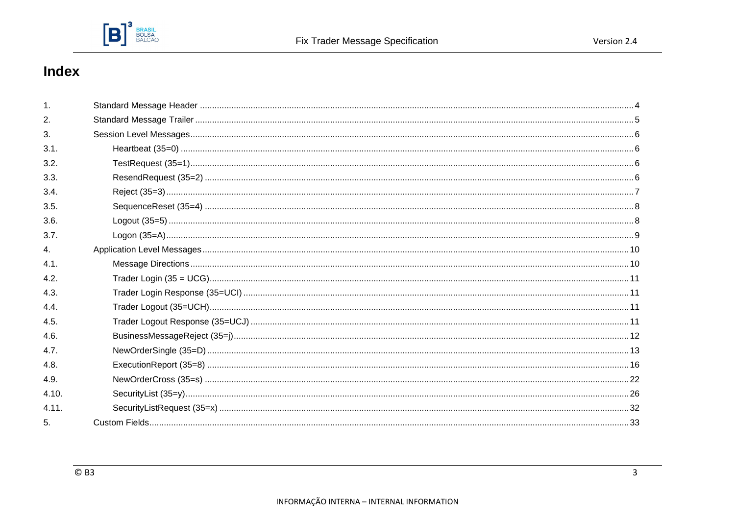

# Index

| $\mathbf{1}$ .   |  |
|------------------|--|
| 2.               |  |
| 3.               |  |
| 3.1.             |  |
| 3.2.             |  |
| 3.3.             |  |
| 3.4.             |  |
| 3.5.             |  |
| 3.6.             |  |
| 3.7.             |  |
| $\overline{4}$ . |  |
| 4.1.             |  |
| 4.2.             |  |
| 4.3.             |  |
| 4.4.             |  |
| 4.5.             |  |
| 4.6.             |  |
| 4.7.             |  |
| 4.8.             |  |
| 4.9.             |  |
| 4.10.            |  |
| 4.11.            |  |
| 5.               |  |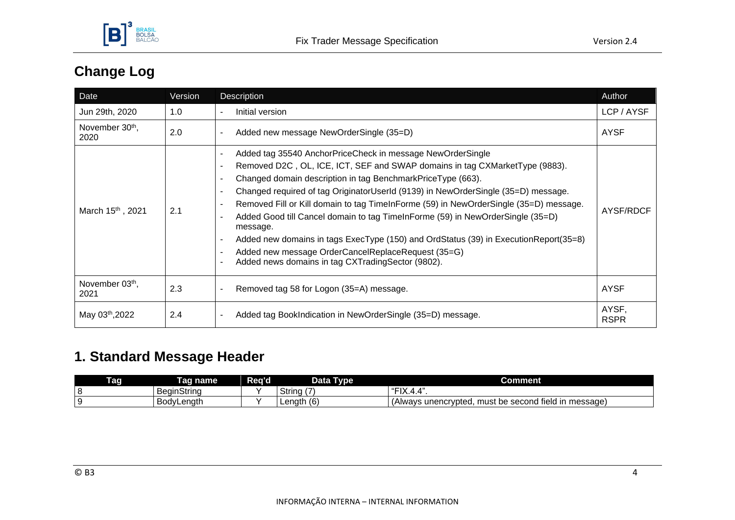

# **Change Log**

| Date                                | Version | Description                                                                                                                                                                                                                                                                                                                                                                                                                                                                                                                                                                                                                                                                             | Author               |
|-------------------------------------|---------|-----------------------------------------------------------------------------------------------------------------------------------------------------------------------------------------------------------------------------------------------------------------------------------------------------------------------------------------------------------------------------------------------------------------------------------------------------------------------------------------------------------------------------------------------------------------------------------------------------------------------------------------------------------------------------------------|----------------------|
| Jun 29th, 2020                      | 1.0     | Initial version                                                                                                                                                                                                                                                                                                                                                                                                                                                                                                                                                                                                                                                                         | LCP / AYSF           |
| November 30 <sup>th</sup> ,<br>2020 | 2.0     | Added new message NewOrderSingle (35=D)                                                                                                                                                                                                                                                                                                                                                                                                                                                                                                                                                                                                                                                 | AYSF                 |
| March 15 <sup>th</sup> , 2021       | 2.1     | Added tag 35540 AnchorPriceCheck in message NewOrderSingle<br>Removed D2C, OL, ICE, ICT, SEF and SWAP domains in tag CXMarketType (9883).<br>Changed domain description in tag BenchmarkPriceType (663).<br>Changed required of tag OriginatorUserId (9139) in NewOrderSingle (35=D) message.<br>Removed Fill or Kill domain to tag TimeInForme (59) in NewOrderSingle (35=D) message.<br>Added Good till Cancel domain to tag TimeInForme (59) in NewOrderSingle (35=D)<br>message.<br>Added new domains in tags ExecType (150) and OrdStatus (39) in ExecutionReport(35=8)<br>Added new message OrderCancelReplaceRequest (35=G)<br>Added news domains in tag CXTradingSector (9802). | AYSF/RDCF            |
| November 03th,<br>2021              | 2.3     | Removed tag 58 for Logon (35=A) message.                                                                                                                                                                                                                                                                                                                                                                                                                                                                                                                                                                                                                                                | <b>AYSF</b>          |
| May 03th, 2022                      | 2.4     | Added tag BookIndication in NewOrderSingle (35=D) message.                                                                                                                                                                                                                                                                                                                                                                                                                                                                                                                                                                                                                              | AYSF,<br><b>RSPR</b> |

# <span id="page-3-0"></span>**1. Standard Message Header**

| Taq I | Taq name           | Req'd | <b>VDE</b><br>Data i                  | <b>Comment</b>                                                    |
|-------|--------------------|-------|---------------------------------------|-------------------------------------------------------------------|
| c     | <b>BeginString</b> |       | $\overline{\phantom{a}}$<br>String (7 | 6 <b>FIV</b><br>IA.                                               |
|       | BodyLength         |       | Length $(6)$                          | in message)<br>e second field.<br>(Alwavs unencrvpted.<br>must be |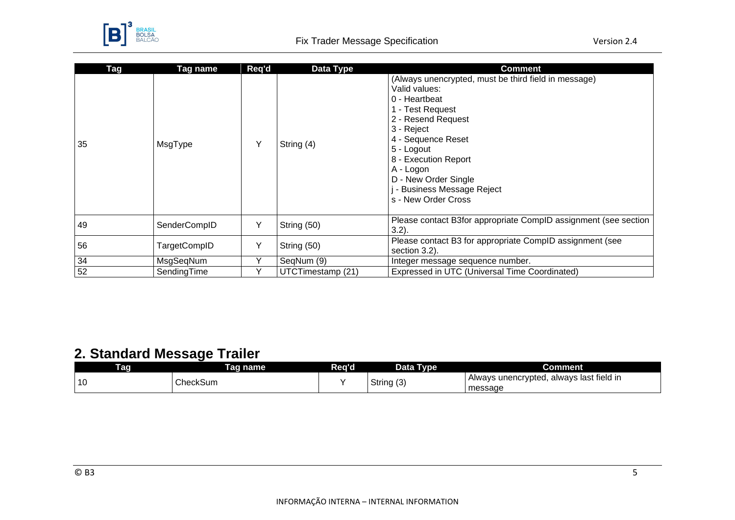

| Tag | Tag name     | Req'd | Data Type         | <b>Comment</b>                                                                                                                                                                                                                                                                                    |
|-----|--------------|-------|-------------------|---------------------------------------------------------------------------------------------------------------------------------------------------------------------------------------------------------------------------------------------------------------------------------------------------|
| 35  | MsgType      | Y     | String (4)        | (Always unencrypted, must be third field in message)<br>Valid values:<br>0 - Heartbeat<br>- Test Request<br>2 - Resend Request<br>3 - Reject<br>4 - Sequence Reset<br>5 - Logout<br>8 - Execution Report<br>A - Logon<br>D - New Order Single<br>- Business Message Reject<br>s - New Order Cross |
| 49  | SenderCompID | Y     | String (50)       | Please contact B3 for appropriate CompID assignment (see section<br>$3.2$ ).                                                                                                                                                                                                                      |
| 56  | TargetCompID | Y     | String (50)       | Please contact B3 for appropriate CompID assignment (see<br>section 3.2).                                                                                                                                                                                                                         |
| 34  | MsgSeqNum    | v     | SeqNum (9)        | Integer message sequence number.                                                                                                                                                                                                                                                                  |
| 52  | SendingTime  |       | UTCTimestamp (21) | Expressed in UTC (Universal Time Coordinated)                                                                                                                                                                                                                                                     |

# <span id="page-4-0"></span>**2. Standard Message Trailer**

| rag | <b>Faq name</b>            | Req'd | Data Type            | Comment                                     |
|-----|----------------------------|-------|----------------------|---------------------------------------------|
| 10  | <u>. – так</u><br>CheckSum |       | $\sqrt{2}$<br>String | always last field in<br>Always unencrypted, |
|     |                            |       | וטו וטו              | message                                     |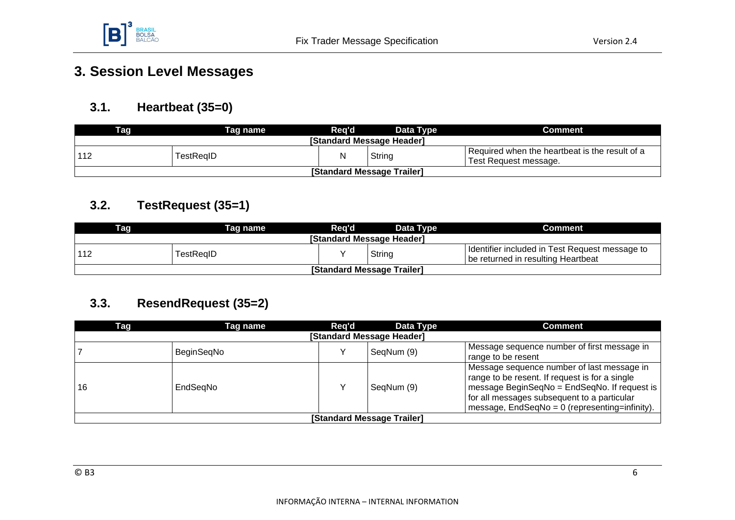

# <span id="page-5-1"></span><span id="page-5-0"></span>**3. Session Level Messages**

#### **3.1. Heartbeat (35=0)**

| Tag                        | Tag name  | Rea'd | Data Tvpe | Comment                                                                 |  |  |
|----------------------------|-----------|-------|-----------|-------------------------------------------------------------------------|--|--|
| [Standard Message Header]  |           |       |           |                                                                         |  |  |
|                            | TestRealD |       | String    | Required when the heartbeat is the result of a<br>Test Request message. |  |  |
| [Standard Message Trailer] |           |       |           |                                                                         |  |  |

#### <span id="page-5-2"></span>**3.2. TestRequest (35=1)**

| <b>Tag</b>                 | Tag name  | Rea'd | . Data Tvpe I | <b>Comment</b>                                                                         |  |
|----------------------------|-----------|-------|---------------|----------------------------------------------------------------------------------------|--|
| [Standard Message Header]  |           |       |               |                                                                                        |  |
| 112                        | TestRegID |       | String        | I Identifier included in Test Request message to<br>be returned in resulting Heartbeat |  |
| [Standard Message Trailer] |           |       |               |                                                                                        |  |

#### <span id="page-5-3"></span>**3.3. ResendRequest (35=2)**

| <b>Tag</b> | Tag name   | Req'd | Data Type                  | <b>Comment</b>                                                                                                                                                                                                                                |
|------------|------------|-------|----------------------------|-----------------------------------------------------------------------------------------------------------------------------------------------------------------------------------------------------------------------------------------------|
|            |            |       | [Standard Message Header]  |                                                                                                                                                                                                                                               |
|            | BeginSegNo |       | SegNum (9)                 | Message sequence number of first message in<br>range to be resent                                                                                                                                                                             |
| 16         | EndSegNo   |       | SeqNum (9)                 | Message sequence number of last message in<br>range to be resent. If request is for a single<br>message BeginSeqNo = EndSeqNo. If request is<br>for all messages subsequent to a particular<br>message, EndSeqNo = 0 (representing=infinity). |
|            |            |       | [Standard Message Trailer] |                                                                                                                                                                                                                                               |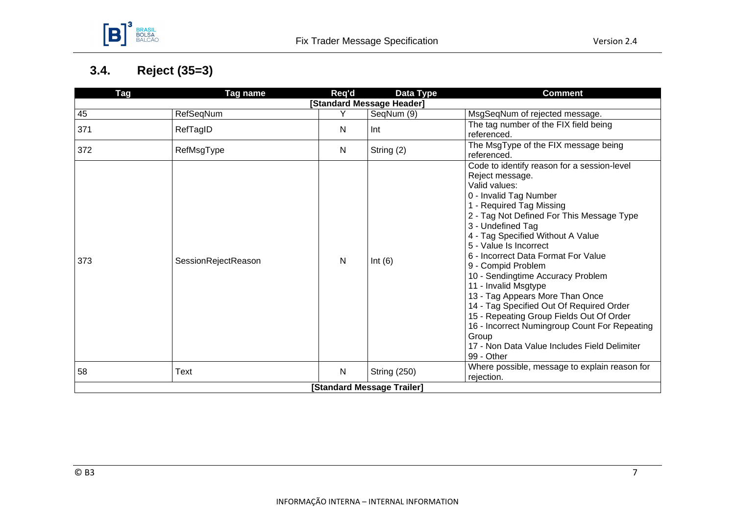

# <span id="page-6-0"></span>**3.4. Reject (35=3)**

| Tag | <b>Tag name</b>           | Req'd        | Data Type                  | <b>Comment</b>                                                                                                                                                                                                                                                                                                                                                                                                                                                                                                                                                                                                                                      |  |  |  |  |  |
|-----|---------------------------|--------------|----------------------------|-----------------------------------------------------------------------------------------------------------------------------------------------------------------------------------------------------------------------------------------------------------------------------------------------------------------------------------------------------------------------------------------------------------------------------------------------------------------------------------------------------------------------------------------------------------------------------------------------------------------------------------------------------|--|--|--|--|--|
|     | [Standard Message Header] |              |                            |                                                                                                                                                                                                                                                                                                                                                                                                                                                                                                                                                                                                                                                     |  |  |  |  |  |
| 45  | RefSeqNum                 | Y            | SeqNum (9)                 | MsgSeqNum of rejected message.                                                                                                                                                                                                                                                                                                                                                                                                                                                                                                                                                                                                                      |  |  |  |  |  |
| 371 | RefTagID                  | N            | Int                        | The tag number of the FIX field being<br>referenced.                                                                                                                                                                                                                                                                                                                                                                                                                                                                                                                                                                                                |  |  |  |  |  |
| 372 | RefMsgType                | $\mathsf{N}$ | String (2)                 | The MsgType of the FIX message being<br>referenced.                                                                                                                                                                                                                                                                                                                                                                                                                                                                                                                                                                                                 |  |  |  |  |  |
| 373 | SessionRejectReason       | N            | Int $(6)$                  | Code to identify reason for a session-level<br>Reject message.<br>Valid values:<br>0 - Invalid Tag Number<br>1 - Required Tag Missing<br>2 - Tag Not Defined For This Message Type<br>3 - Undefined Tag<br>4 - Tag Specified Without A Value<br>5 - Value Is Incorrect<br>6 - Incorrect Data Format For Value<br>9 - Compid Problem<br>10 - Sendingtime Accuracy Problem<br>11 - Invalid Msgtype<br>13 - Tag Appears More Than Once<br>14 - Tag Specified Out Of Required Order<br>15 - Repeating Group Fields Out Of Order<br>16 - Incorrect Numingroup Count For Repeating<br>Group<br>17 - Non Data Value Includes Field Delimiter<br>99 - Other |  |  |  |  |  |
| 58  | Text                      | N            | <b>String (250)</b>        | Where possible, message to explain reason for<br>rejection.                                                                                                                                                                                                                                                                                                                                                                                                                                                                                                                                                                                         |  |  |  |  |  |
|     |                           |              | [Standard Message Trailer] |                                                                                                                                                                                                                                                                                                                                                                                                                                                                                                                                                                                                                                                     |  |  |  |  |  |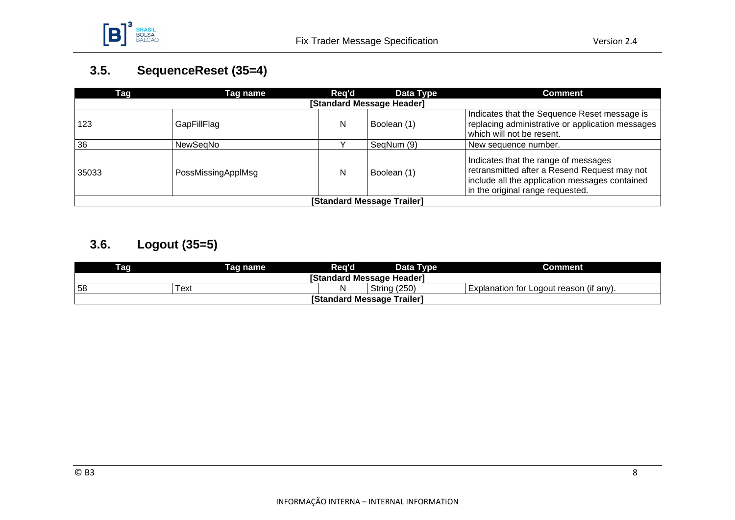

## <span id="page-7-0"></span>**3.5. SequenceReset (35=4)**

| Tag   | Tag name           | Reg'd | Data Type                  | <b>Comment</b>                                                                                                                                                             |
|-------|--------------------|-------|----------------------------|----------------------------------------------------------------------------------------------------------------------------------------------------------------------------|
|       |                    |       | [Standard Message Header]  |                                                                                                                                                                            |
| 123   | GapFillFlag        | N     | Boolean (1)                | Indicates that the Sequence Reset message is<br>replacing administrative or application messages<br>which will not be resent.                                              |
| 36    | NewSegNo           |       | SeqNum (9)                 | New sequence number.                                                                                                                                                       |
| 35033 | PossMissingApplMsg | N     | Boolean (1)                | Indicates that the range of messages<br>retransmitted after a Resend Request may not<br>include all the application messages contained<br>in the original range requested. |
|       |                    |       | [Standard Message Trailer] |                                                                                                                                                                            |

## <span id="page-7-1"></span>**3.6. Logout (35=5)**

| Tag.                       | <b>Tag name</b> | Req'd | Data Type           | Comment                                 |  |  |
|----------------------------|-----------------|-------|---------------------|-----------------------------------------|--|--|
| [Standard Message Header]  |                 |       |                     |                                         |  |  |
| 58                         | l ext           |       | <b>String (250)</b> | Explanation for Logout reason (if any). |  |  |
| [Standard Message Trailer] |                 |       |                     |                                         |  |  |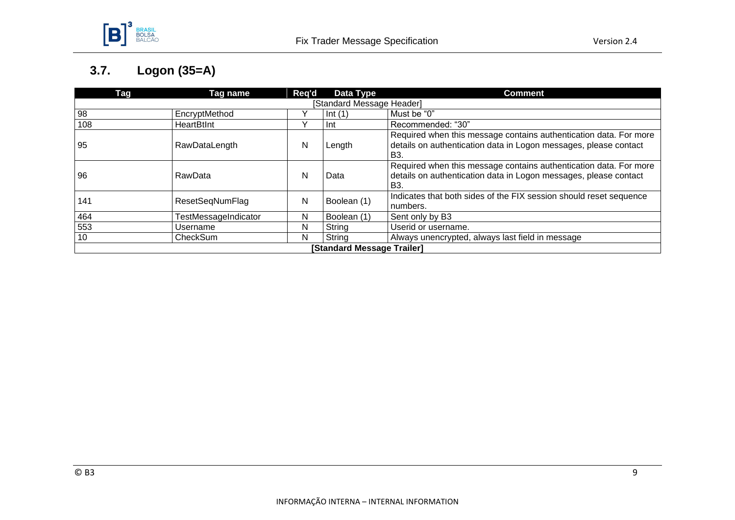

# <span id="page-8-0"></span>**3.7. Logon (35=A)**

| Tag                        | Tag name                        | Reg'd | Data Type   | <b>Comment</b>                                                                                                                               |  |  |  |  |
|----------------------------|---------------------------------|-------|-------------|----------------------------------------------------------------------------------------------------------------------------------------------|--|--|--|--|
|                            | <b>Standard Message Header]</b> |       |             |                                                                                                                                              |  |  |  |  |
| 98                         | EncryptMethod                   |       | Int(1)      | Must be "0"                                                                                                                                  |  |  |  |  |
| 108                        | <b>HeartBtInt</b>               |       | Int         | Recommended: "30"                                                                                                                            |  |  |  |  |
| 95                         | RawDataLength                   | N     | Length      | Required when this message contains authentication data. For more<br>details on authentication data in Logon messages, please contact<br>B3. |  |  |  |  |
| 96                         | RawData                         | N     | Data        | Required when this message contains authentication data. For more<br>details on authentication data in Logon messages, please contact<br>B3. |  |  |  |  |
| 141                        | ResetSegNumFlag                 | N     | Boolean (1) | Indicates that both sides of the FIX session should reset sequence<br>numbers.                                                               |  |  |  |  |
| 464                        | TestMessageIndicator            | N     | Boolean (1) | Sent only by B3                                                                                                                              |  |  |  |  |
| 553                        | Username                        | N     | String      | Userid or username.                                                                                                                          |  |  |  |  |
| 10                         | CheckSum                        | N     | String      | Always unencrypted, always last field in message                                                                                             |  |  |  |  |
| [Standard Message Trailer] |                                 |       |             |                                                                                                                                              |  |  |  |  |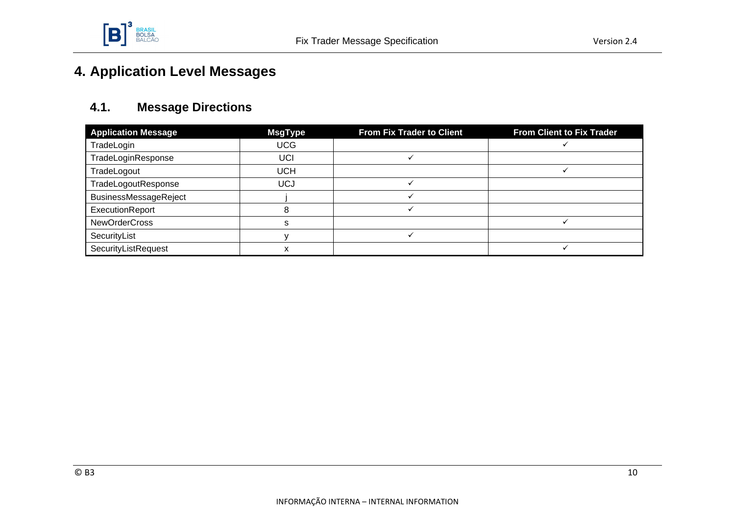

# <span id="page-9-1"></span><span id="page-9-0"></span>**4. Application Level Messages**

#### **4.1. Message Directions**

| <b>Application Message</b> | <b>MsgType</b> | <b>From Fix Trader to Client</b> | <b>From Client to Fix Trader</b> |
|----------------------------|----------------|----------------------------------|----------------------------------|
| TradeLogin                 | <b>UCG</b>     |                                  |                                  |
| TradeLoginResponse         | UCI            |                                  |                                  |
| TradeLogout                | <b>UCH</b>     |                                  |                                  |
| TradeLogoutResponse        | <b>UCJ</b>     |                                  |                                  |
| BusinessMessageReject      |                |                                  |                                  |
| ExecutionReport            |                |                                  |                                  |
| <b>NewOrderCross</b>       |                |                                  |                                  |
| SecurityList               |                |                                  |                                  |
| SecurityListRequest        | $\lambda$      |                                  |                                  |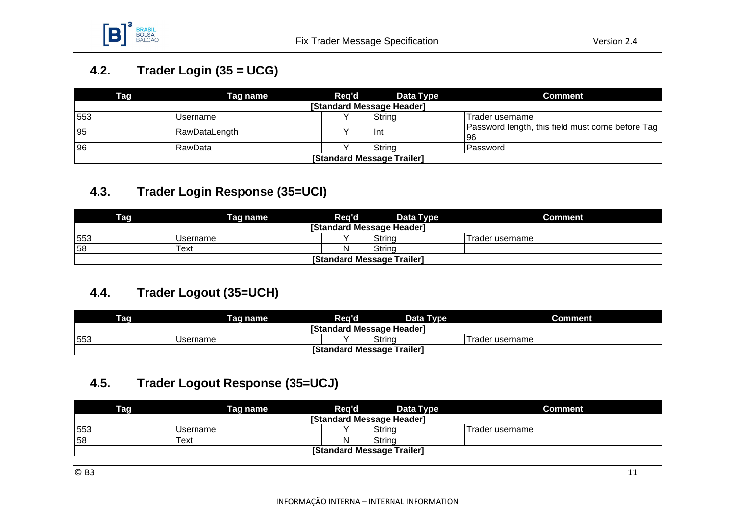

#### <span id="page-10-0"></span>**4.2. Trader Login (35 = UCG)**

| <b>Tag</b>                 | Tag name      | Rea'd | Data Tvpe | <b>Comment</b>                                           |  |  |  |  |
|----------------------------|---------------|-------|-----------|----------------------------------------------------------|--|--|--|--|
| [Standard Message Header]  |               |       |           |                                                          |  |  |  |  |
| 553                        | Username      |       | String    | Trader username                                          |  |  |  |  |
| 95                         | RawDataLength |       | -Int      | Password length, this field must come before Tag  <br>96 |  |  |  |  |
| 96                         | RawData       |       | String    | Password                                                 |  |  |  |  |
| [Standard Message Trailer] |               |       |           |                                                          |  |  |  |  |

#### <span id="page-10-1"></span>**4.3. Trader Login Response (35=UCI)**

| <b>Tag</b>                 | Tag name | Req'd | Data Type | Comment         |  |  |  |
|----------------------------|----------|-------|-----------|-----------------|--|--|--|
| [Standard Message Header]  |          |       |           |                 |  |  |  |
| 553                        | Username |       | String    | Trader username |  |  |  |
| 58<br>Text<br>Strina<br>N  |          |       |           |                 |  |  |  |
| [Standard Message Trailer] |          |       |           |                 |  |  |  |

#### <span id="page-10-2"></span>**4.4. Trader Logout (35=UCH)**

| Tag.                             | Taq name | Rea'd | Data Type | Comment         |  |  |  |
|----------------------------------|----------|-------|-----------|-----------------|--|--|--|
| <b>[Standard Message Header]</b> |          |       |           |                 |  |  |  |
| 553                              | Username |       | String    | Trader username |  |  |  |
| [Standard Message Trailer]       |          |       |           |                 |  |  |  |

#### <span id="page-10-3"></span>**4.5. Trader Logout Response (35=UCJ)**

| <b>Tag</b>                 | Tag name | Req'd | Data Type | <b>Comment</b>  |  |  |  |
|----------------------------|----------|-------|-----------|-----------------|--|--|--|
| [Standard Message Header]  |          |       |           |                 |  |  |  |
| 553                        | Username |       | String    | Trader username |  |  |  |
| 58                         | Гехt     |       | String    |                 |  |  |  |
| [Standard Message Trailer] |          |       |           |                 |  |  |  |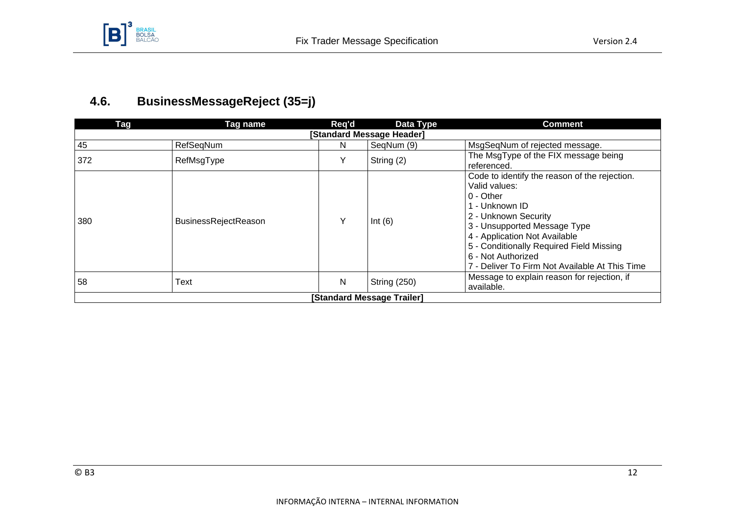

## <span id="page-11-0"></span>**4.6. BusinessMessageReject (35=j)**

| Tag                       | Tag name             | Reg'd | Data Type                  | <b>Comment</b>                                                                                                                                                                                                                                                                                             |  |  |  |  |  |
|---------------------------|----------------------|-------|----------------------------|------------------------------------------------------------------------------------------------------------------------------------------------------------------------------------------------------------------------------------------------------------------------------------------------------------|--|--|--|--|--|
| [Standard Message Header] |                      |       |                            |                                                                                                                                                                                                                                                                                                            |  |  |  |  |  |
| 45                        | RefSeqNum            | N     | SeqNum (9)                 | MsgSeqNum of rejected message.                                                                                                                                                                                                                                                                             |  |  |  |  |  |
| 372                       | RefMsgType           | Υ     | String (2)                 | The MsgType of the FIX message being<br>referenced.                                                                                                                                                                                                                                                        |  |  |  |  |  |
| 380                       | BusinessRejectReason | Υ     | Int $(6)$                  | Code to identify the reason of the rejection.<br>Valid values:<br>0 - Other<br>1 - Unknown ID<br>2 - Unknown Security<br>3 - Unsupported Message Type<br>4 - Application Not Available<br>5 - Conditionally Required Field Missing<br>6 - Not Authorized<br>7 - Deliver To Firm Not Available At This Time |  |  |  |  |  |
| 58                        | Text                 | N     | <b>String (250)</b>        | Message to explain reason for rejection, if<br>available.                                                                                                                                                                                                                                                  |  |  |  |  |  |
|                           |                      |       | [Standard Message Trailer] |                                                                                                                                                                                                                                                                                                            |  |  |  |  |  |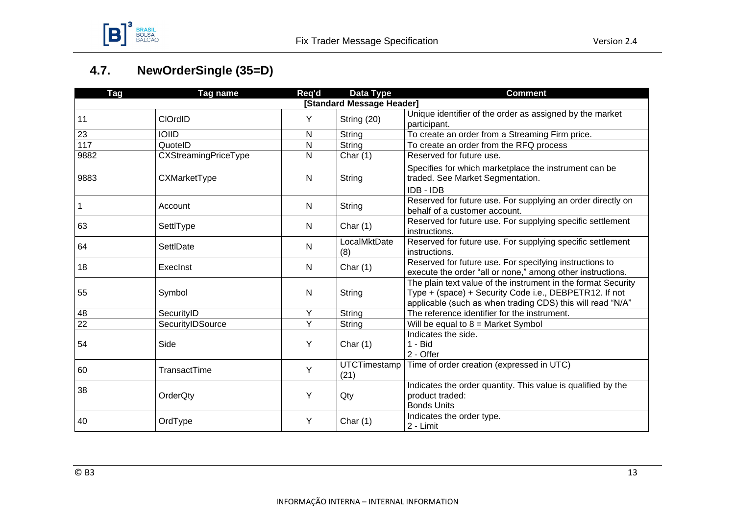

## <span id="page-12-0"></span>**4.7. NewOrderSingle (35=D)**

| <b>Tag</b>      | Tag name             | Req'd        | Data Type                   | <b>Comment</b>                                                                                                                                                                        |
|-----------------|----------------------|--------------|-----------------------------|---------------------------------------------------------------------------------------------------------------------------------------------------------------------------------------|
|                 |                      |              | [Standard Message Header]   |                                                                                                                                                                                       |
| 11              | <b>CIOrdID</b>       | Y            | String (20)                 | Unique identifier of the order as assigned by the market<br>participant.                                                                                                              |
| 23              | <b>IOIID</b>         | N            | String                      | To create an order from a Streaming Firm price.                                                                                                                                       |
| 117             | QuotelD              | N            | String                      | To create an order from the RFQ process                                                                                                                                               |
| 9882            | CXStreamingPriceType | N            | Char $(1)$                  | Reserved for future use.                                                                                                                                                              |
| 9883            | CXMarketType         | N            | String                      | Specifies for which marketplace the instrument can be<br>traded. See Market Segmentation.<br>IDB - IDB                                                                                |
|                 | Account              | $\mathsf{N}$ | String                      | Reserved for future use. For supplying an order directly on<br>behalf of a customer account.                                                                                          |
| 63              | SettlType            | N            | Char $(1)$                  | Reserved for future use. For supplying specific settlement<br>instructions.                                                                                                           |
| 64              | SettlDate            | N            | LocalMktDate<br>(8)         | Reserved for future use. For supplying specific settlement<br>instructions.                                                                                                           |
| 18              | Execlnst             | $\mathsf{N}$ | Char $(1)$                  | Reserved for future use. For specifying instructions to<br>execute the order "all or none," among other instructions.                                                                 |
| 55              | Symbol               | N            | String                      | The plain text value of the instrument in the format Security<br>Type + (space) + Security Code i.e., DEBPETR12. If not<br>applicable (such as when trading CDS) this will read "N/A" |
| 48              | SecurityID           | Υ            | <b>String</b>               | The reference identifier for the instrument.                                                                                                                                          |
| $\overline{22}$ | SecurityIDSource     | Y            | String                      | Will be equal to $8 =$ Market Symbol                                                                                                                                                  |
| 54              | Side                 | Y            | Char $(1)$                  | Indicates the side.<br>$1 - Bid$<br>2 - Offer                                                                                                                                         |
| 60              | TransactTime         | Y            | <b>UTCTimestamp</b><br>(21) | Time of order creation (expressed in UTC)                                                                                                                                             |
| 38              | OrderQty             | Y            | Qty                         | Indicates the order quantity. This value is qualified by the<br>product traded:<br><b>Bonds Units</b>                                                                                 |
| 40              | OrdType              | Y            | Char $(1)$                  | Indicates the order type.<br>2 - Limit                                                                                                                                                |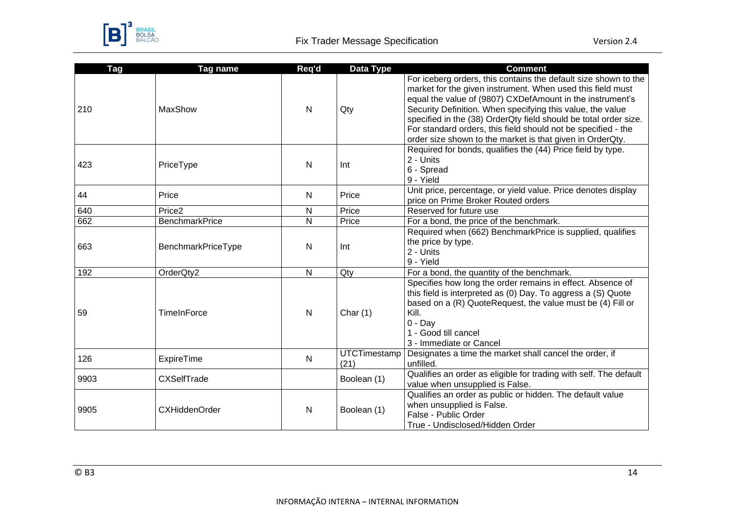

| Tag  | <b>Tag name</b>       | Req'd        | <b>Data Type</b>            | <b>Comment</b>                                                                                                                                                                                                                                                                                                                                                                                                                                             |
|------|-----------------------|--------------|-----------------------------|------------------------------------------------------------------------------------------------------------------------------------------------------------------------------------------------------------------------------------------------------------------------------------------------------------------------------------------------------------------------------------------------------------------------------------------------------------|
| 210  | MaxShow               | N            | Qty                         | For iceberg orders, this contains the default size shown to the<br>market for the given instrument. When used this field must<br>equal the value of (9807) CXDefAmount in the instrument's<br>Security Definition. When specifying this value, the value<br>specified in the (38) OrderQty field should be total order size.<br>For standard orders, this field should not be specified - the<br>order size shown to the market is that given in OrderQty. |
| 423  | PriceType             | $\mathsf{N}$ | Int                         | Required for bonds, qualifies the (44) Price field by type.<br>2 - Units<br>6 - Spread<br>9 - Yield                                                                                                                                                                                                                                                                                                                                                        |
| 44   | Price                 | N            | Price                       | Unit price, percentage, or yield value. Price denotes display<br>price on Prime Broker Routed orders                                                                                                                                                                                                                                                                                                                                                       |
| 640  | Price <sub>2</sub>    | $\mathsf{N}$ | Price                       | Reserved for future use                                                                                                                                                                                                                                                                                                                                                                                                                                    |
| 662  | <b>BenchmarkPrice</b> | N            | Price                       | For a bond, the price of the benchmark.                                                                                                                                                                                                                                                                                                                                                                                                                    |
| 663  | BenchmarkPriceType    | $\mathsf{N}$ | Int                         | Required when (662) BenchmarkPrice is supplied, qualifies<br>the price by type.<br>2 - Units<br>9 - Yield                                                                                                                                                                                                                                                                                                                                                  |
| 192  | OrderQty2             | $\mathsf{N}$ | Qty                         | For a bond, the quantity of the benchmark.                                                                                                                                                                                                                                                                                                                                                                                                                 |
| 59   | <b>TimeInForce</b>    | $\mathsf{N}$ | Char $(1)$                  | Specifies how long the order remains in effect. Absence of<br>this field is interpreted as (0) Day. To aggress a (S) Quote<br>based on a (R) QuoteRequest, the value must be (4) Fill or<br>Kill.<br>$0 - Day$<br>1 - Good till cancel<br>3 - Immediate or Cancel                                                                                                                                                                                          |
| 126  | ExpireTime            | $\mathsf{N}$ | <b>UTCTimestamp</b><br>(21) | Designates a time the market shall cancel the order, if<br>unfilled.                                                                                                                                                                                                                                                                                                                                                                                       |
| 9903 | <b>CXSelfTrade</b>    |              | Boolean (1)                 | Qualifies an order as eligible for trading with self. The default<br>value when unsupplied is False.                                                                                                                                                                                                                                                                                                                                                       |
| 9905 | <b>CXHiddenOrder</b>  | $\mathsf{N}$ | Boolean (1)                 | Qualifies an order as public or hidden. The default value<br>when unsupplied is False.<br>False - Public Order<br>True - Undisclosed/Hidden Order                                                                                                                                                                                                                                                                                                          |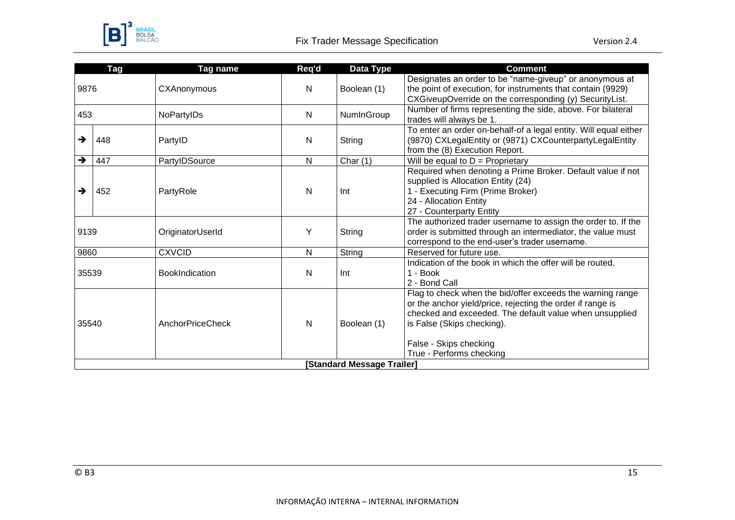

<span id="page-14-0"></span>

|               | <b>Tag</b> | <b>Tag name</b>       | Req'd        | Data Type                  | <b>Comment</b>                                                                                                                                                                                                                                                          |
|---------------|------------|-----------------------|--------------|----------------------------|-------------------------------------------------------------------------------------------------------------------------------------------------------------------------------------------------------------------------------------------------------------------------|
| 9876          |            | CXAnonymous           | N            | Boolean (1)                | Designates an order to be "name-giveup" or anonymous at<br>the point of execution, for instruments that contain (9929)<br>CXGiveupOverride on the corresponding (y) SecurityList.                                                                                       |
| 453           |            | NoPartyIDs            | $\mathsf{N}$ | NumInGroup                 | Number of firms representing the side, above. For bilateral<br>trades will always be 1.                                                                                                                                                                                 |
| →             | 448        | PartyID               | N            | String                     | To enter an order on-behalf-of a legal entity. Will equal either<br>(9870) CXLegalEntity or (9871) CXCounterpartyLegalEntity<br>from the (8) Execution Report.                                                                                                          |
| $\rightarrow$ | 447        | PartylDSource         | N            | Char $(1)$                 | Will be equal to $D =$ Proprietary                                                                                                                                                                                                                                      |
| →             | 452        | PartyRole             | $\mathsf{N}$ | Int                        | Required when denoting a Prime Broker. Default value if not<br>supplied is Allocation Entity (24)<br>1 - Executing Firm (Prime Broker)<br>24 - Allocation Entity<br>27 - Counterparty Entity                                                                            |
| 9139          |            | OriginatorUserId      | Y            | String                     | The authorized trader username to assign the order to. If the<br>order is submitted through an intermediator, the value must<br>correspond to the end-user's trader username.                                                                                           |
| 9860          |            | <b>CXVCID</b>         | $\mathsf{N}$ | String                     | Reserved for future use.                                                                                                                                                                                                                                                |
| 35539         |            | <b>BookIndication</b> | N            | Int                        | Indication of the book in which the offer will be routed.<br>1 - Book<br>2 - Bond Call                                                                                                                                                                                  |
| 35540         |            | AnchorPriceCheck      | N            | Boolean (1)                | Flag to check when the bid/offer exceeds the warning range<br>or the anchor yield/price, rejecting the order if range is<br>checked and exceeded. The default value when unsupplied<br>is False (Skips checking).<br>False - Skips checking<br>True - Performs checking |
|               |            |                       |              | [Standard Message Trailer] |                                                                                                                                                                                                                                                                         |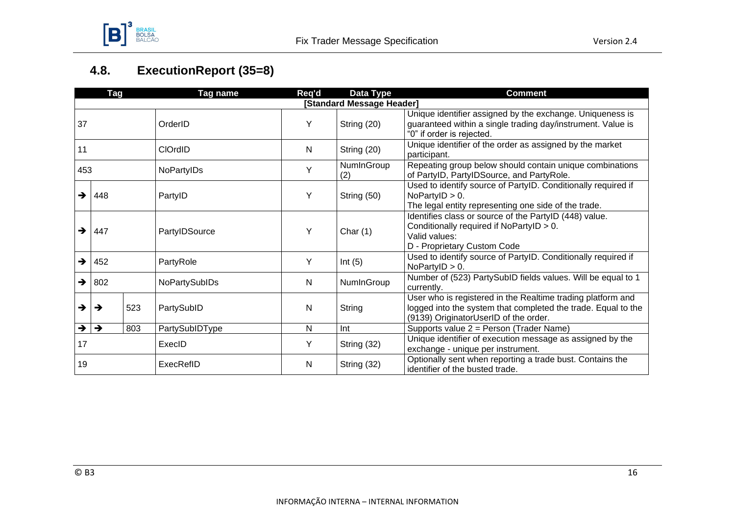

# **4.8. ExecutionReport (35=8)**

|               | <b>Tag</b>    |     | Tag name             | Req'd | Data Type                 | <b>Comment</b>                                                                                                                                                        |
|---------------|---------------|-----|----------------------|-------|---------------------------|-----------------------------------------------------------------------------------------------------------------------------------------------------------------------|
|               |               |     |                      |       | [Standard Message Header] |                                                                                                                                                                       |
| 37            |               |     | OrderID              | Y     | String (20)               | Unique identifier assigned by the exchange. Uniqueness is<br>guaranteed within a single trading day/instrument. Value is<br>"0" if order is rejected.                 |
| 11            |               |     | <b>CIOrdID</b>       | N     | String (20)               | Unique identifier of the order as assigned by the market<br>participant.                                                                                              |
| 453           |               |     | NoPartyIDs           | Y     | NumInGroup<br>(2)         | Repeating group below should contain unique combinations<br>of PartylD, PartylDSource, and PartyRole.                                                                 |
| $\rightarrow$ | 448           |     | PartyID              | Y     | String (50)               | Used to identify source of PartyID. Conditionally required if<br>NoPartyID $> 0$ .<br>The legal entity representing one side of the trade.                            |
| $\rightarrow$ | 447           |     | PartylDSource        | Y     | Char $(1)$                | Identifies class or source of the PartyID (448) value.<br>Conditionally required if NoPartyID > 0.<br>Valid values:<br>D - Proprietary Custom Code                    |
| $\rightarrow$ | 452           |     | PartyRole            | Y     | Int $(5)$                 | Used to identify source of PartylD. Conditionally required if<br>NoPartyID > 0.                                                                                       |
| $\rightarrow$ | 802           |     | <b>NoPartySubIDs</b> | N     | NumInGroup                | Number of (523) PartySubID fields values. Will be equal to 1<br>currently.                                                                                            |
| $\rightarrow$ | →             | 523 | PartySubID           | N     | String                    | User who is registered in the Realtime trading platform and<br>logged into the system that completed the trade. Equal to the<br>(9139) OriginatorUserID of the order. |
| →             | $\rightarrow$ | 803 | PartySubIDType       | N     | Int                       | Supports value 2 = Person (Trader Name)                                                                                                                               |
| 17            |               |     | ExecID               | Y     | String (32)               | Unique identifier of execution message as assigned by the<br>exchange - unique per instrument.                                                                        |
| 19            |               |     | ExecRefID            | N     | String (32)               | Optionally sent when reporting a trade bust. Contains the<br>identifier of the busted trade.                                                                          |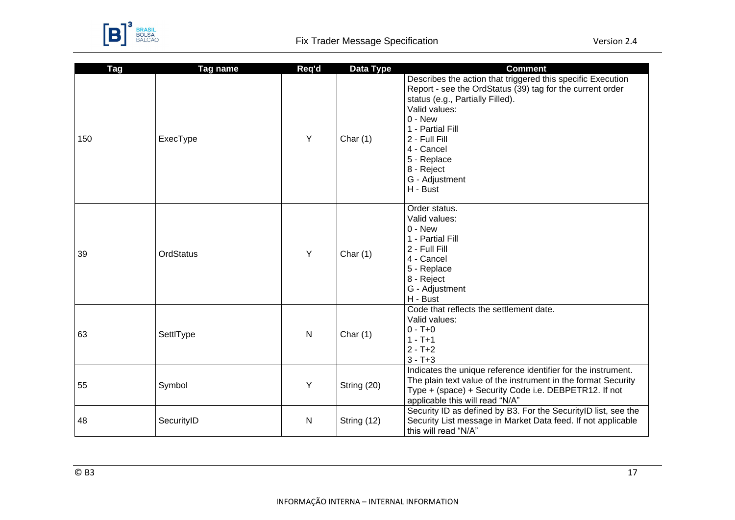

| <b>Tag</b> | Tag name         | Req'd | Data Type   | <b>Comment</b>                                                                                                                                                                                                                                                                                           |
|------------|------------------|-------|-------------|----------------------------------------------------------------------------------------------------------------------------------------------------------------------------------------------------------------------------------------------------------------------------------------------------------|
| 150        | ExecType         | Y     | Char $(1)$  | Describes the action that triggered this specific Execution<br>Report - see the OrdStatus (39) tag for the current order<br>status (e.g., Partially Filled).<br>Valid values:<br>$0 - New$<br>1 - Partial Fill<br>2 - Full Fill<br>4 - Cancel<br>5 - Replace<br>8 - Reject<br>G - Adjustment<br>H - Bust |
| 39         | <b>OrdStatus</b> | Υ     | Char $(1)$  | Order status.<br>Valid values:<br>$0 - New$<br>1 - Partial Fill<br>2 - Full Fill<br>4 - Cancel<br>5 - Replace<br>8 - Reject<br>G - Adjustment<br>H - Bust                                                                                                                                                |
| 63         | SettlType        | N     | Char $(1)$  | Code that reflects the settlement date.<br>Valid values:<br>$0 - T + 0$<br>$1 - T + 1$<br>$2 - T + 2$<br>$3 - T + 3$                                                                                                                                                                                     |
| 55         | Symbol           | Y     | String (20) | Indicates the unique reference identifier for the instrument.<br>The plain text value of the instrument in the format Security<br>Type + (space) + Security Code i.e. DEBPETR12. If not<br>applicable this will read "N/A"                                                                               |
| 48         | SecurityID       | N     | String (12) | Security ID as defined by B3. For the SecurityID list, see the<br>Security List message in Market Data feed. If not applicable<br>this will read "N/A"                                                                                                                                                   |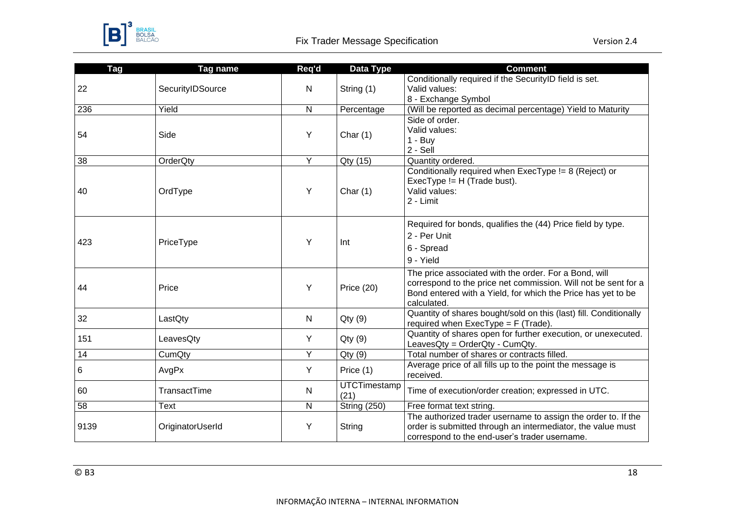

| <b>Tag</b> | Req'd<br>Data Type<br>Tag name |              |                             | <b>Comment</b>                                                                                                                                                                                         |  |
|------------|--------------------------------|--------------|-----------------------------|--------------------------------------------------------------------------------------------------------------------------------------------------------------------------------------------------------|--|
| 22         | SecurityIDSource               | N            | String (1)                  | Conditionally required if the SecurityID field is set.<br>Valid values:<br>8 - Exchange Symbol                                                                                                         |  |
| 236        | Yield                          | $\mathsf{N}$ | Percentage                  | (Will be reported as decimal percentage) Yield to Maturity                                                                                                                                             |  |
| 54         | Side                           | Y            | Char $(1)$                  | Side of order.<br>Valid values:<br>$1 - Buy$<br>2 - Sell                                                                                                                                               |  |
| 38         | OrderQty                       | Y            | Qty (15)                    | Quantity ordered.                                                                                                                                                                                      |  |
| 40         | OrdType                        | Y            | Char $(1)$                  | Conditionally required when ExecType != 8 (Reject) or<br>ExecType != H (Trade bust).<br>Valid values:<br>2 - Limit                                                                                     |  |
| 423        | PriceType                      | Y            | Int                         | Required for bonds, qualifies the (44) Price field by type.<br>2 - Per Unit<br>6 - Spread<br>9 - Yield                                                                                                 |  |
| 44         | Price                          | Y            | Price (20)                  | The price associated with the order. For a Bond, will<br>correspond to the price net commission. Will not be sent for a<br>Bond entered with a Yield, for which the Price has yet to be<br>calculated. |  |
| 32         | LastQty                        | $\mathsf{N}$ | Qty(9)                      | Quantity of shares bought/sold on this (last) fill. Conditionally<br>required when $ExecType = F$ (Trade).                                                                                             |  |
| 151        | LeavesQty                      | Y            | Qty(9)                      | Quantity of shares open for further execution, or unexecuted.<br>LeavesQty = OrderQty - CumQty.                                                                                                        |  |
| 14         | CumQty                         | Υ            | Qty(9)                      | Total number of shares or contracts filled.                                                                                                                                                            |  |
| 6          | AvgPx                          | Y            | Price (1)                   | Average price of all fills up to the point the message is<br>received.                                                                                                                                 |  |
| 60         | TransactTime                   | ${\sf N}$    | <b>UTCTimestamp</b><br>(21) | Time of execution/order creation; expressed in UTC.                                                                                                                                                    |  |
| 58         | Text                           | $\mathsf{N}$ | <b>String (250)</b>         | Free format text string.                                                                                                                                                                               |  |
| 9139       | OriginatorUserId               | Υ            | String                      | The authorized trader username to assign the order to. If the<br>order is submitted through an intermediator, the value must<br>correspond to the end-user's trader username.                          |  |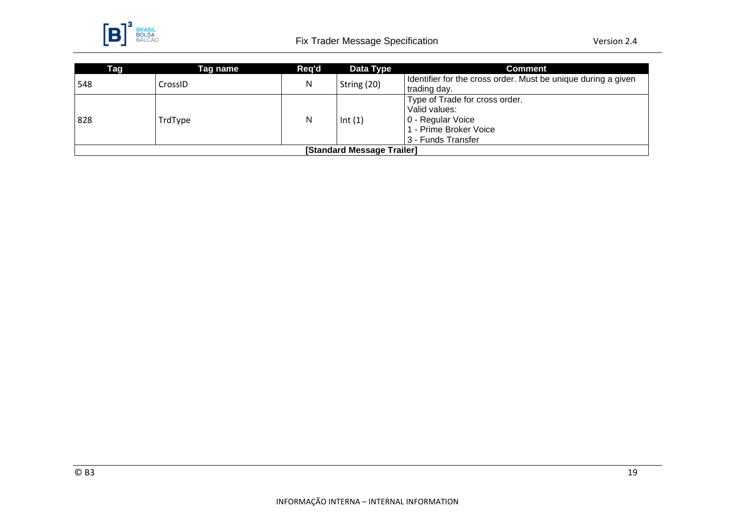

| Tag                        | Taq name | Reg'd | Data Type   | <b>Comment</b>                                                                                                         |  |  |
|----------------------------|----------|-------|-------------|------------------------------------------------------------------------------------------------------------------------|--|--|
| 548                        | CrossID  | Ν     | String (20) | I Identifier for the cross order. Must be unique during a given<br>trading day.                                        |  |  |
| 828                        | TrdType  | N     | Int(1)      | Type of Trade for cross order.<br>l Valid values:<br>0 - Regular Voice<br>1 - Prime Broker Voice<br>3 - Funds Transfer |  |  |
| [Standard Message Trailer] |          |       |             |                                                                                                                        |  |  |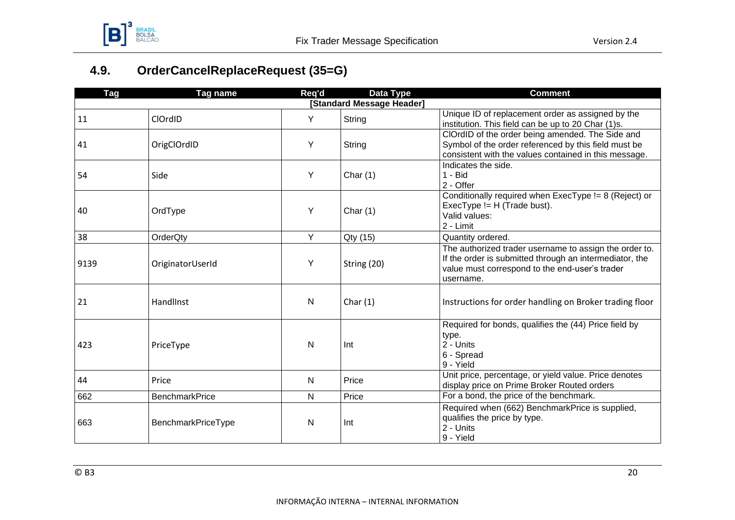

# **4.9. OrderCancelReplaceRequest (35=G)**

| <b>Tag</b> | Tag name                  | Req'd | Data Type   | <b>Comment</b>                                                                                                                                                                   |  |  |  |  |  |  |
|------------|---------------------------|-------|-------------|----------------------------------------------------------------------------------------------------------------------------------------------------------------------------------|--|--|--|--|--|--|
|            | [Standard Message Header] |       |             |                                                                                                                                                                                  |  |  |  |  |  |  |
| 11         | ClOrdID                   | Y     | String      | Unique ID of replacement order as assigned by the<br>institution. This field can be up to 20 Char (1)s.                                                                          |  |  |  |  |  |  |
| 41         | OrigClOrdID               | Y     | String      | ClOrdID of the order being amended. The Side and<br>Symbol of the order referenced by this field must be<br>consistent with the values contained in this message.                |  |  |  |  |  |  |
| 54         | Side                      | Y     | Char $(1)$  | Indicates the side.<br>$1 - Bid$<br>2 - Offer                                                                                                                                    |  |  |  |  |  |  |
| 40         | OrdType                   | Υ     | Char $(1)$  | Conditionally required when ExecType != 8 (Reject) or<br>ExecType != H (Trade bust).<br>Valid values:<br>2 - Limit                                                               |  |  |  |  |  |  |
| 38         | OrderQty                  | Y     | Qty (15)    | Quantity ordered.                                                                                                                                                                |  |  |  |  |  |  |
| 9139       | OriginatorUserId          | Y     | String (20) | The authorized trader username to assign the order to.<br>If the order is submitted through an intermediator, the<br>value must correspond to the end-user's trader<br>username. |  |  |  |  |  |  |
| 21         | HandlInst                 | N     | Char $(1)$  | Instructions for order handling on Broker trading floor                                                                                                                          |  |  |  |  |  |  |
| 423        | PriceType                 | N     | Int         | Required for bonds, qualifies the (44) Price field by<br>type.<br>2 - Units<br>6 - Spread<br>9 - Yield                                                                           |  |  |  |  |  |  |
| 44         | Price                     | N     | Price       | Unit price, percentage, or yield value. Price denotes<br>display price on Prime Broker Routed orders                                                                             |  |  |  |  |  |  |
| 662        | <b>BenchmarkPrice</b>     | N     | Price       | For a bond, the price of the benchmark.                                                                                                                                          |  |  |  |  |  |  |
| 663        | BenchmarkPriceType        | N     | Int         | Required when (662) BenchmarkPrice is supplied,<br>qualifies the price by type.<br>2 - Units<br>9 - Yield                                                                        |  |  |  |  |  |  |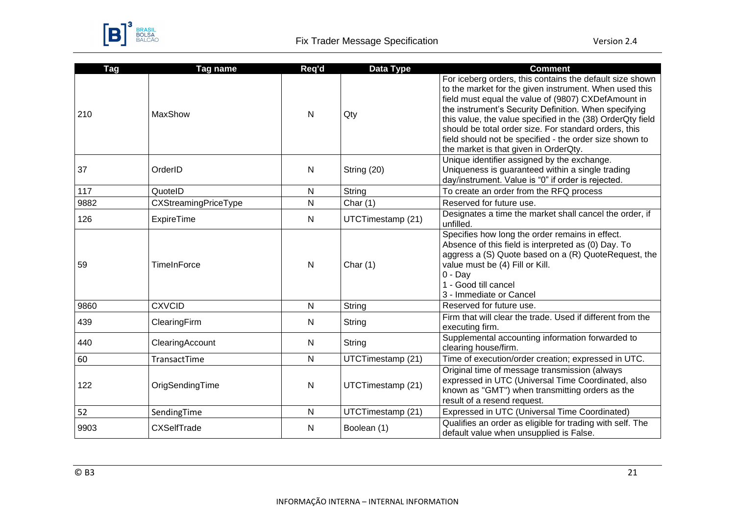

| Tag  | Tag name             | Req'd | <b>Data Type</b>  | <b>Comment</b>                                                                                                                                                                                                                                                                                                                                                                                                                                                |
|------|----------------------|-------|-------------------|---------------------------------------------------------------------------------------------------------------------------------------------------------------------------------------------------------------------------------------------------------------------------------------------------------------------------------------------------------------------------------------------------------------------------------------------------------------|
| 210  | MaxShow              | N     | Qty               | For iceberg orders, this contains the default size shown<br>to the market for the given instrument. When used this<br>field must equal the value of (9807) CXDefAmount in<br>the instrument's Security Definition. When specifying<br>this value, the value specified in the (38) OrderQty field<br>should be total order size. For standard orders, this<br>field should not be specified - the order size shown to<br>the market is that given in OrderQty. |
| 37   | OrderID              | N     | String (20)       | Unique identifier assigned by the exchange.<br>Uniqueness is guaranteed within a single trading<br>day/instrument. Value is "0" if order is rejected.                                                                                                                                                                                                                                                                                                         |
| 117  | QuotelD              | N     | String            | To create an order from the RFQ process                                                                                                                                                                                                                                                                                                                                                                                                                       |
| 9882 | CXStreamingPriceType | N     | Char $(1)$        | Reserved for future use.                                                                                                                                                                                                                                                                                                                                                                                                                                      |
| 126  | ExpireTime           | N     | UTCTimestamp (21) | Designates a time the market shall cancel the order, if<br>unfilled.                                                                                                                                                                                                                                                                                                                                                                                          |
| 59   | <b>TimeInForce</b>   | N     | Char $(1)$        | Specifies how long the order remains in effect.<br>Absence of this field is interpreted as (0) Day. To<br>aggress a (S) Quote based on a (R) QuoteRequest, the<br>value must be (4) Fill or Kill.<br>$0 - Day$<br>1 - Good till cancel<br>3 - Immediate or Cancel                                                                                                                                                                                             |
| 9860 | <b>CXVCID</b>        | N     | String            | Reserved for future use.                                                                                                                                                                                                                                                                                                                                                                                                                                      |
| 439  | ClearingFirm         | N     | String            | Firm that will clear the trade. Used if different from the<br>executing firm.                                                                                                                                                                                                                                                                                                                                                                                 |
| 440  | ClearingAccount      | N     | String            | Supplemental accounting information forwarded to<br>clearing house/firm.                                                                                                                                                                                                                                                                                                                                                                                      |
| 60   | TransactTime         | N     | UTCTimestamp (21) | Time of execution/order creation; expressed in UTC.                                                                                                                                                                                                                                                                                                                                                                                                           |
| 122  | OrigSendingTime      | N     | UTCTimestamp (21) | Original time of message transmission (always<br>expressed in UTC (Universal Time Coordinated, also<br>known as "GMT") when transmitting orders as the<br>result of a resend request.                                                                                                                                                                                                                                                                         |
| 52   | SendingTime          | N.    | UTCTimestamp (21) | Expressed in UTC (Universal Time Coordinated)                                                                                                                                                                                                                                                                                                                                                                                                                 |
| 9903 | <b>CXSelfTrade</b>   | N     | Boolean (1)       | Qualifies an order as eligible for trading with self. The<br>default value when unsupplied is False.                                                                                                                                                                                                                                                                                                                                                          |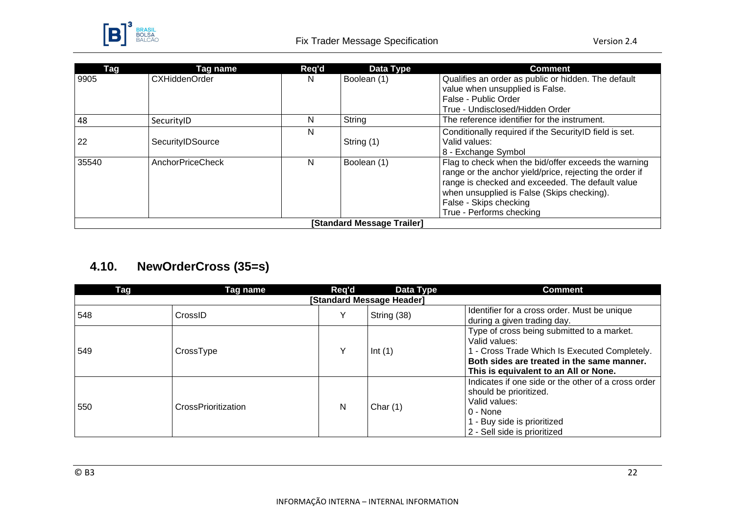

| Tag   | Tag name                     | Req'd | Data Type   | <b>Comment</b>                                                                                                                                                                                                                                                          |  |  |  |  |
|-------|------------------------------|-------|-------------|-------------------------------------------------------------------------------------------------------------------------------------------------------------------------------------------------------------------------------------------------------------------------|--|--|--|--|
| 9905  | <b>CXHiddenOrder</b>         | N     | Boolean (1) | Qualifies an order as public or hidden. The default<br>value when unsupplied is False.<br>False - Public Order<br>True - Undisclosed/Hidden Order                                                                                                                       |  |  |  |  |
| 48    | SecurityID                   | N     | String      | The reference identifier for the instrument.                                                                                                                                                                                                                            |  |  |  |  |
| 22    | SecurityIDSource             | N     | String (1)  | Conditionally required if the SecurityID field is set.<br>Valid values:<br>8 - Exchange Symbol                                                                                                                                                                          |  |  |  |  |
| 35540 | <b>AnchorPriceCheck</b><br>N |       | Boolean (1) | Flag to check when the bid/offer exceeds the warning<br>range or the anchor yield/price, rejecting the order if<br>range is checked and exceeded. The default value<br>when unsupplied is False (Skips checking).<br>False - Skips checking<br>True - Performs checking |  |  |  |  |
|       | [Standard Message Trailer]   |       |             |                                                                                                                                                                                                                                                                         |  |  |  |  |

## <span id="page-21-0"></span>**4.10. NewOrderCross (35=s)**

| Tag | Tag name            | Reg'd | Data Type                 | <b>Comment</b>                                                                                                                                                                                    |
|-----|---------------------|-------|---------------------------|---------------------------------------------------------------------------------------------------------------------------------------------------------------------------------------------------|
|     |                     |       | [Standard Message Header] |                                                                                                                                                                                                   |
| 548 | CrossID             | Υ     | String (38)               | Identifier for a cross order. Must be unique<br>during a given trading day.                                                                                                                       |
| 549 | CrossType           | Υ     | Int $(1)$                 | Type of cross being submitted to a market.<br>Valid values:<br>- Cross Trade Which Is Executed Completely.<br>Both sides are treated in the same manner.<br>This is equivalent to an All or None. |
| 550 | CrossPrioritization | N     | Char $(1)$                | Indicates if one side or the other of a cross order<br>should be prioritized.<br>Valid values:<br>0 - None<br>- Buy side is prioritized<br>2 - Sell side is prioritized                           |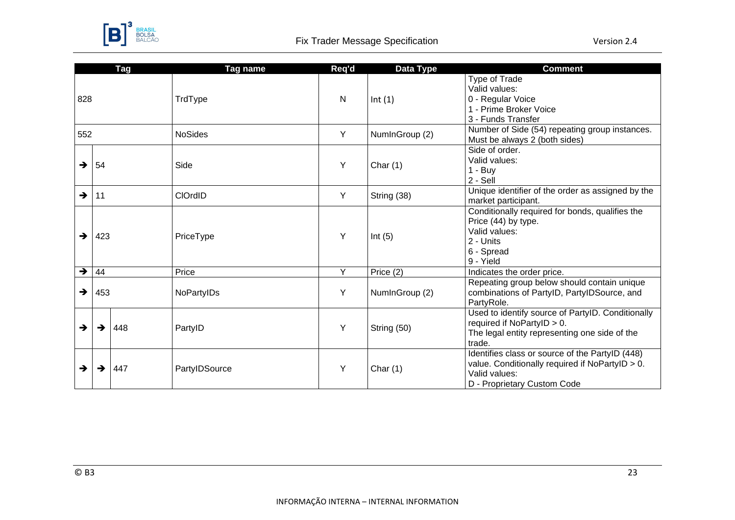

|               |               | Tag | <b>Tag name</b> | Req'd     | <b>Data Type</b> | <b>Comment</b>                                                                                                                                     |
|---------------|---------------|-----|-----------------|-----------|------------------|----------------------------------------------------------------------------------------------------------------------------------------------------|
| 828           |               |     | TrdType         | ${\sf N}$ | Int $(1)$        | Type of Trade<br>Valid values:<br>0 - Regular Voice<br>1 - Prime Broker Voice<br>3 - Funds Transfer                                                |
| 552           |               |     | <b>NoSides</b>  | Y         | NumInGroup (2)   | Number of Side (54) repeating group instances.<br>Must be always 2 (both sides)                                                                    |
| $\rightarrow$ | 54            |     | Side            | Y         | Char $(1)$       | Side of order.<br>Valid values:<br>$1 - Buy$<br>2 - Sell                                                                                           |
| $\rightarrow$ | 11            |     | <b>ClOrdID</b>  | Y         | String (38)      | Unique identifier of the order as assigned by the<br>market participant.                                                                           |
| →             | 423           |     | PriceType       | Y         | Int $(5)$        | Conditionally required for bonds, qualifies the<br>Price (44) by type.<br>Valid values:<br>2 - Units<br>6 - Spread<br>9 - Yield                    |
| $\rightarrow$ | 44            |     | Price           | Y         | Price (2)        | Indicates the order price.                                                                                                                         |
| $\rightarrow$ | 453           |     | NoPartyIDs      | Y         | NumInGroup (2)   | Repeating group below should contain unique<br>combinations of PartyID, PartyIDSource, and<br>PartyRole.                                           |
| →             | $\rightarrow$ | 448 | PartyID         | Y         | String (50)      | Used to identify source of PartyID. Conditionally<br>required if NoPartyID > 0.<br>The legal entity representing one side of the<br>trade.         |
| →             | $\rightarrow$ | 447 | PartyIDSource   | Y         | Char $(1)$       | Identifies class or source of the PartyID (448)<br>value. Conditionally required if NoPartyID > 0.<br>Valid values:<br>D - Proprietary Custom Code |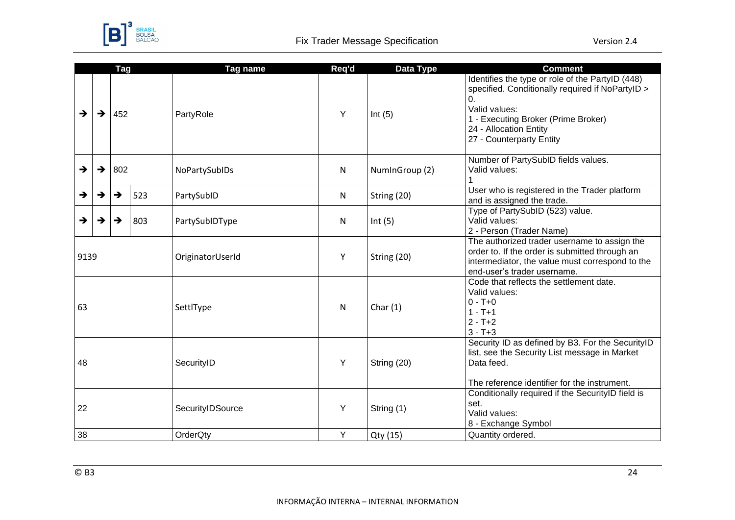

|               |               | Tag           |     | <b>Tag name</b>  | Req'd     | Data Type      | <b>Comment</b>                                                                                                                                                                                                          |
|---------------|---------------|---------------|-----|------------------|-----------|----------------|-------------------------------------------------------------------------------------------------------------------------------------------------------------------------------------------------------------------------|
| $\rightarrow$ | $\rightarrow$ | 452           |     | PartyRole        | Y         | Int $(5)$      | Identifies the type or role of the PartyID (448)<br>specified. Conditionally required if NoPartyID ><br>0<br>Valid values:<br>1 - Executing Broker (Prime Broker)<br>24 - Allocation Entity<br>27 - Counterparty Entity |
| $\rightarrow$ | →             | 802           |     | NoPartySubIDs    | ${\sf N}$ | NumInGroup (2) | Number of PartySubID fields values.<br>Valid values:                                                                                                                                                                    |
| →             | $\rightarrow$ | $\rightarrow$ | 523 | PartySubID       | N         | String (20)    | User who is registered in the Trader platform<br>and is assigned the trade.                                                                                                                                             |
| →             | →             | $\rightarrow$ | 803 | PartySubIDType   | N         | Int $(5)$      | Type of PartySubID (523) value.<br>Valid values:<br>2 - Person (Trader Name)                                                                                                                                            |
| 9139          |               |               |     | OriginatorUserId | Υ         | String (20)    | The authorized trader username to assign the<br>order to. If the order is submitted through an<br>intermediator, the value must correspond to the<br>end-user's trader username.                                        |
| 63            |               |               |     | SettlType        | N         | Char $(1)$     | Code that reflects the settlement date.<br>Valid values:<br>$0 - T + 0$<br>$1 - T + 1$<br>$2 - T + 2$<br>$3 - T + 3$                                                                                                    |
| 48            |               |               |     | SecurityID       | Y         | String (20)    | Security ID as defined by B3. For the SecurityID<br>list, see the Security List message in Market<br>Data feed.<br>The reference identifier for the instrument.                                                         |
| 22            |               |               |     | SecurityIDSource | Y         | String (1)     | Conditionally required if the SecurityID field is<br>set.<br>Valid values:<br>8 - Exchange Symbol                                                                                                                       |
| 38            |               |               |     | OrderQty         | Y         | Qty (15)       | Quantity ordered.                                                                                                                                                                                                       |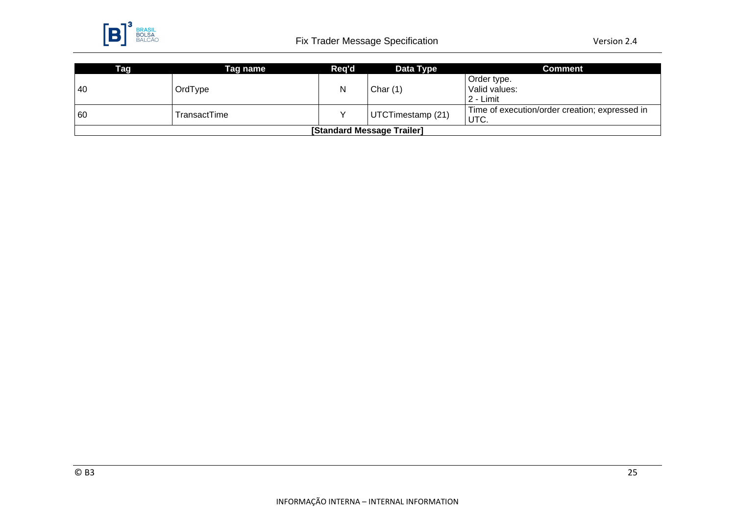

| Tag                        | Tag name     | Req'd        | Data Type         | <b>Comment</b>                                         |  |  |
|----------------------------|--------------|--------------|-------------------|--------------------------------------------------------|--|--|
| -40                        | OrdType      | N            | Char $(1)$        | Order type.<br>Valid values:<br>2 - Limit              |  |  |
| 60                         | TransactTime | $\checkmark$ | UTCTimestamp (21) | Time of execution/order creation; expressed in<br>UTC. |  |  |
| [Standard Message Trailer] |              |              |                   |                                                        |  |  |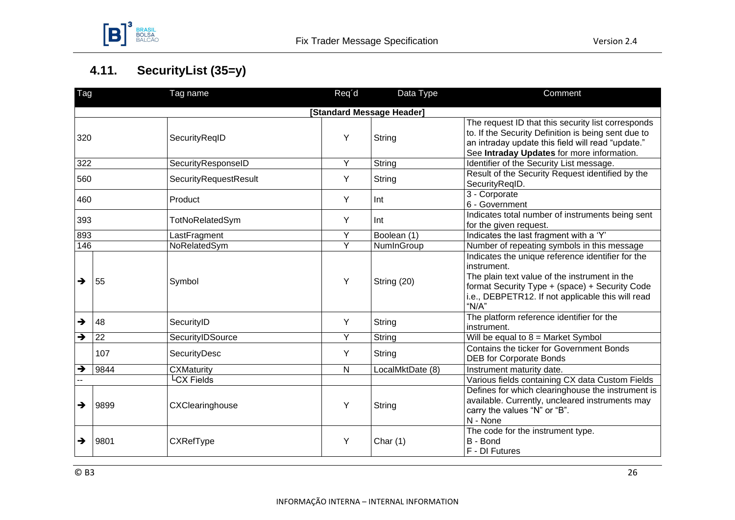

## <span id="page-25-0"></span>**4.11. SecurityList (35=y)**

| <b>Tag</b> |                           | Tag name              | Req'd | Data Type        | Comment                                                                                                                                                                                                                               |  |  |  |  |
|------------|---------------------------|-----------------------|-------|------------------|---------------------------------------------------------------------------------------------------------------------------------------------------------------------------------------------------------------------------------------|--|--|--|--|
|            | [Standard Message Header] |                       |       |                  |                                                                                                                                                                                                                                       |  |  |  |  |
| 320        |                           | SecurityReqID         | Y     | String           | The request ID that this security list corresponds<br>to. If the Security Definition is being sent due to<br>an intraday update this field will read "update."<br>See Intraday Updates for more information.                          |  |  |  |  |
| 322        |                           | SecurityResponseID    | Y     | String           | Identifier of the Security List message.                                                                                                                                                                                              |  |  |  |  |
| 560        |                           | SecurityRequestResult | Y     | String           | Result of the Security Request identified by the<br>SecurityReqID.                                                                                                                                                                    |  |  |  |  |
| 460        |                           | Product               | Y     | Int              | 3 - Corporate<br>6 - Government                                                                                                                                                                                                       |  |  |  |  |
| 393        |                           | TotNoRelatedSym       | Y     | Int              | Indicates total number of instruments being sent<br>for the given request.                                                                                                                                                            |  |  |  |  |
| 893        |                           | LastFragment          | Y     | Boolean (1)      | Indicates the last fragment with a 'Y'                                                                                                                                                                                                |  |  |  |  |
| 146        |                           | NoRelatedSym          | Y     | NumInGroup       | Number of repeating symbols in this message                                                                                                                                                                                           |  |  |  |  |
| →          | 55                        | Symbol                | Y     | String (20)      | Indicates the unique reference identifier for the<br>instrument.<br>The plain text value of the instrument in the<br>format Security Type + (space) + Security Code<br>i.e., DEBPETR12. If not applicable this will read<br>" $N/A$ " |  |  |  |  |
| →          | 48                        | SecurityID            | Y     | String           | The platform reference identifier for the<br>instrument.                                                                                                                                                                              |  |  |  |  |
| →          | 22                        | SecurityIDSource      | Y     | String           | Will be equal to $8 =$ Market Symbol                                                                                                                                                                                                  |  |  |  |  |
|            | 107                       | <b>SecurityDesc</b>   | Y     | String           | Contains the ticker for Government Bonds<br><b>DEB</b> for Corporate Bonds                                                                                                                                                            |  |  |  |  |
| →          | 9844                      | <b>CXMaturity</b>     | N     | LocalMktDate (8) | <b>Instrument maturity date.</b>                                                                                                                                                                                                      |  |  |  |  |
|            |                           | LCX Fields            |       |                  | Various fields containing CX data Custom Fields                                                                                                                                                                                       |  |  |  |  |
| →          | 9899                      | CXClearinghouse       | Y     | String           | Defines for which clearinghouse the instrument is<br>available. Currently, uncleared instruments may<br>carry the values "N" or "B".<br>N - None                                                                                      |  |  |  |  |
| →          | 9801                      | CXRefType             | Y     | Char $(1)$       | The code for the instrument type.<br>B - Bond<br>F - DI Futures                                                                                                                                                                       |  |  |  |  |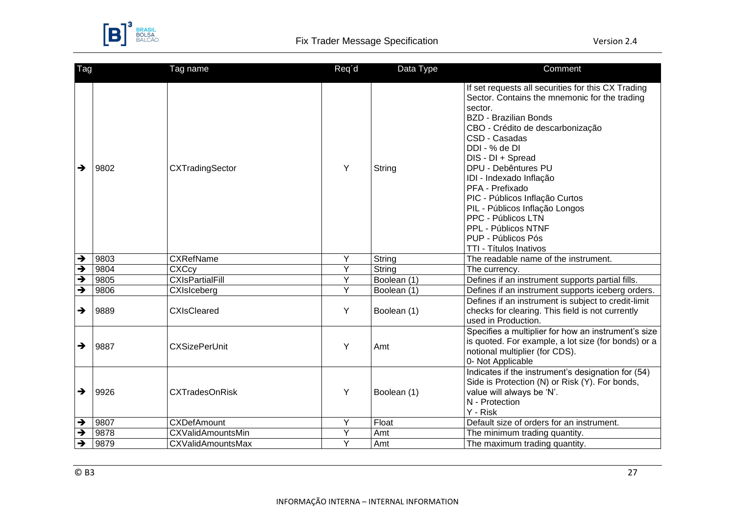

| Tag                      |      | Tag name                 | Req'd          | Data Type     | Comment                                                                                                                                                                                                                                                                                                                                                                                                                                                                         |
|--------------------------|------|--------------------------|----------------|---------------|---------------------------------------------------------------------------------------------------------------------------------------------------------------------------------------------------------------------------------------------------------------------------------------------------------------------------------------------------------------------------------------------------------------------------------------------------------------------------------|
| $\rightarrow$            | 9802 | CXTradingSector          | Y              | String        | If set requests all securities for this CX Trading<br>Sector. Contains the mnemonic for the trading<br>sector.<br><b>BZD - Brazilian Bonds</b><br>CBO - Crédito de descarbonização<br>CSD - Casadas<br>DDI - % de DI<br>DIS - DI + Spread<br>DPU - Debêntures PU<br>IDI - Indexado Inflação<br>PFA - Prefixado<br>PIC - Públicos Inflação Curtos<br>PIL - Públicos Inflação Longos<br>PPC - Públicos LTN<br>PPL - Públicos NTNF<br>PUP - Públicos Pós<br>TTI - Títulos Inativos |
| $\rightarrow$            | 9803 | <b>CXRefName</b>         | Y              | String        | The readable name of the instrument.                                                                                                                                                                                                                                                                                                                                                                                                                                            |
| ₹                        | 9804 | <b>CXCcy</b>             | Y              | String        | The currency.                                                                                                                                                                                                                                                                                                                                                                                                                                                                   |
| ₹                        | 9805 | <b>CXIsPartialFill</b>   | $\overline{Y}$ | Boolean $(1)$ | Defines if an instrument supports partial fills.                                                                                                                                                                                                                                                                                                                                                                                                                                |
| ₹                        | 9806 | CXIsIceberg              | $\overline{Y}$ | Boolean (1)   | Defines if an instrument supports iceberg orders.                                                                                                                                                                                                                                                                                                                                                                                                                               |
| →                        | 9889 | <b>CXIsCleared</b>       | Y              | Boolean (1)   | Defines if an instrument is subject to credit-limit<br>checks for clearing. This field is not currently<br>used in Production.                                                                                                                                                                                                                                                                                                                                                  |
| $\rightarrow$            | 9887 | <b>CXSizePerUnit</b>     | Y              | Amt           | Specifies a multiplier for how an instrument's size<br>is quoted. For example, a lot size (for bonds) or a<br>notional multiplier (for CDS).<br>0- Not Applicable                                                                                                                                                                                                                                                                                                               |
| →                        | 9926 | <b>CXTradesOnRisk</b>    | Y              | Boolean (1)   | Indicates if the instrument's designation for (54)<br>Side is Protection (N) or Risk (Y). For bonds,<br>value will always be 'N'.<br>N - Protection<br>Y - Risk                                                                                                                                                                                                                                                                                                                 |
| $\rightarrow$            | 9807 | <b>CXDefAmount</b>       | Y              | Float         | Default size of orders for an instrument.                                                                                                                                                                                                                                                                                                                                                                                                                                       |
| $\rightarrow$            | 9878 | CXValidAmountsMin        | Y              | Amt           | The minimum trading quantity.                                                                                                                                                                                                                                                                                                                                                                                                                                                   |
| $\overline{\rightarrow}$ | 9879 | <b>CXValidAmountsMax</b> | Y              | Amt           | The maximum trading quantity.                                                                                                                                                                                                                                                                                                                                                                                                                                                   |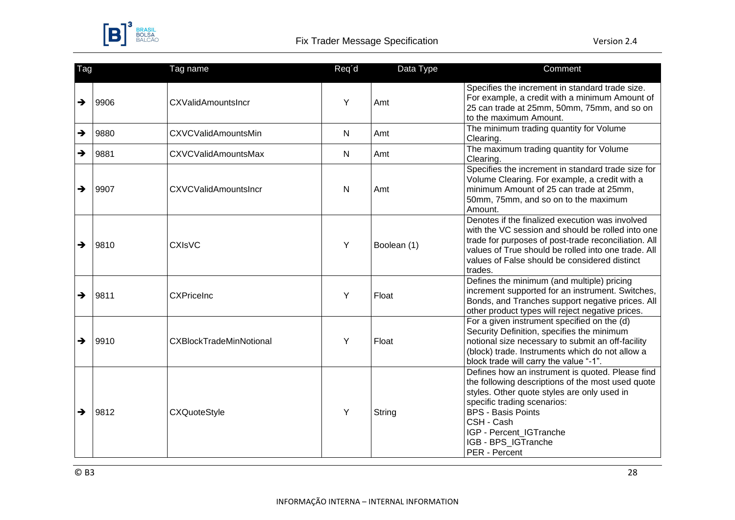

| Tag |      | Tag name                    | Req'd | Data Type   | Comment                                                                                                                                                                                                                                                                                           |
|-----|------|-----------------------------|-------|-------------|---------------------------------------------------------------------------------------------------------------------------------------------------------------------------------------------------------------------------------------------------------------------------------------------------|
| →   | 9906 | CXValidAmountsIncr          | Y     | Amt         | Specifies the increment in standard trade size.<br>For example, a credit with a minimum Amount of<br>25 can trade at 25mm, 50mm, 75mm, and so on<br>to the maximum Amount.                                                                                                                        |
| →   | 9880 | <b>CXVCValidAmountsMin</b>  | N     | Amt         | The minimum trading quantity for Volume<br>Clearing.                                                                                                                                                                                                                                              |
| →   | 9881 | <b>CXVCValidAmountsMax</b>  | N     | Amt         | The maximum trading quantity for Volume<br>Clearing.                                                                                                                                                                                                                                              |
| →   | 9907 | <b>CXVCValidAmountsIncr</b> | N     | Amt         | Specifies the increment in standard trade size for<br>Volume Clearing. For example, a credit with a<br>minimum Amount of 25 can trade at 25mm,<br>50mm, 75mm, and so on to the maximum<br>Amount.                                                                                                 |
| →   | 9810 | <b>CXIsVC</b>               | Y     | Boolean (1) | Denotes if the finalized execution was involved<br>with the VC session and should be rolled into one<br>trade for purposes of post-trade reconciliation. All<br>values of True should be rolled into one trade. All<br>values of False should be considered distinct<br>trades.                   |
| →   | 9811 | <b>CXPriceInc</b>           | Y     | Float       | Defines the minimum (and multiple) pricing<br>increment supported for an instrument. Switches,<br>Bonds, and Tranches support negative prices. All<br>other product types will reject negative prices.                                                                                            |
| →   | 9910 | CXBlockTradeMinNotional     | Y     | Float       | For a given instrument specified on the (d)<br>Security Definition, specifies the minimum<br>notional size necessary to submit an off-facility<br>(block) trade. Instruments which do not allow a<br>block trade will carry the value "-1".                                                       |
| →   | 9812 | <b>CXQuoteStyle</b>         | Y     | String      | Defines how an instrument is quoted. Please find<br>the following descriptions of the most used quote<br>styles. Other quote styles are only used in<br>specific trading scenarios:<br><b>BPS - Basis Points</b><br>CSH - Cash<br>IGP - Percent IGTranche<br>IGB - BPS_IGTranche<br>PER - Percent |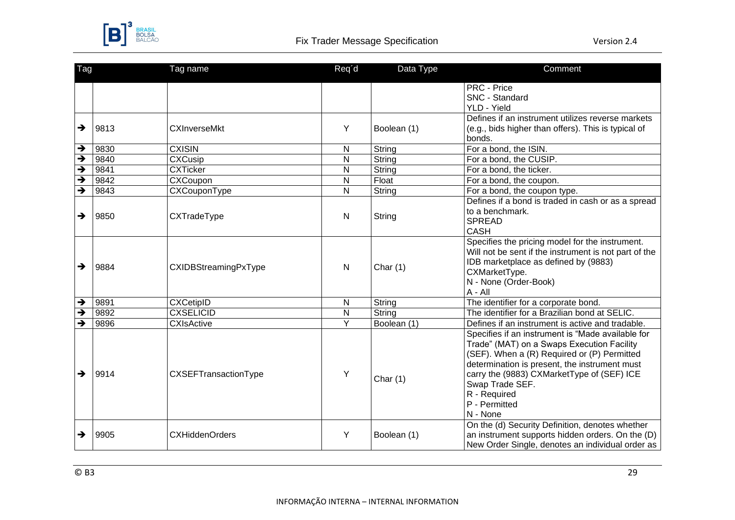

| Tag |      | Tag name              | Req'd        | Data Type   | Comment                                                                                                                                                                                                                                                                                                       |
|-----|------|-----------------------|--------------|-------------|---------------------------------------------------------------------------------------------------------------------------------------------------------------------------------------------------------------------------------------------------------------------------------------------------------------|
|     |      |                       |              |             | <b>PRC</b> - Price<br>SNC - Standard<br>YLD - Yield                                                                                                                                                                                                                                                           |
| →   | 9813 | <b>CXInverseMkt</b>   | Y            | Boolean (1) | Defines if an instrument utilizes reverse markets<br>(e.g., bids higher than offers). This is typical of<br>bonds.                                                                                                                                                                                            |
| →   | 9830 | <b>CXISIN</b>         | N            | String      | For a bond, the ISIN.                                                                                                                                                                                                                                                                                         |
| →   | 9840 | <b>CXCusip</b>        | N            | String      | For a bond, the CUSIP.                                                                                                                                                                                                                                                                                        |
| →   | 9841 | <b>CXTicker</b>       | N            | String      | For a bond, the ticker.                                                                                                                                                                                                                                                                                       |
| →   | 9842 | CXCoupon              | N            | Float       | For a bond, the coupon.                                                                                                                                                                                                                                                                                       |
| →   | 9843 | CXCouponType          | N            | String      | For a bond, the coupon type.                                                                                                                                                                                                                                                                                  |
| →   | 9850 | CXTradeType           | N            | String      | Defines if a bond is traded in cash or as a spread<br>to a benchmark.<br><b>SPREAD</b><br><b>CASH</b>                                                                                                                                                                                                         |
| →   | 9884 | CXIDBStreamingPxType  | N            | Char $(1)$  | Specifies the pricing model for the instrument.<br>Will not be sent if the instrument is not part of the<br>IDB marketplace as defined by (9883)<br>CXMarketType.<br>N - None (Order-Book)<br>$A - All$                                                                                                       |
| →   | 9891 | <b>CXCetipID</b>      | N            | String      | The identifier for a corporate bond.                                                                                                                                                                                                                                                                          |
| →   | 9892 | <b>CXSELICID</b>      | $\mathsf{N}$ | String      | The identifier for a Brazilian bond at SELIC.                                                                                                                                                                                                                                                                 |
| →   | 9896 | <b>CXIsActive</b>     | Y            | Boolean (1) | Defines if an instrument is active and tradable.                                                                                                                                                                                                                                                              |
| →   | 9914 | CXSEFTransactionType  | Y            | Char $(1)$  | Specifies if an instrument is "Made available for<br>Trade" (MAT) on a Swaps Execution Facility<br>(SEF). When a (R) Required or (P) Permitted<br>determination is present, the instrument must<br>carry the (9883) CXMarketType of (SEF) ICE<br>Swap Trade SEF.<br>R - Required<br>P - Permitted<br>N - None |
| →   | 9905 | <b>CXHiddenOrders</b> | Y            | Boolean (1) | On the (d) Security Definition, denotes whether<br>an instrument supports hidden orders. On the (D)<br>New Order Single, denotes an individual order as                                                                                                                                                       |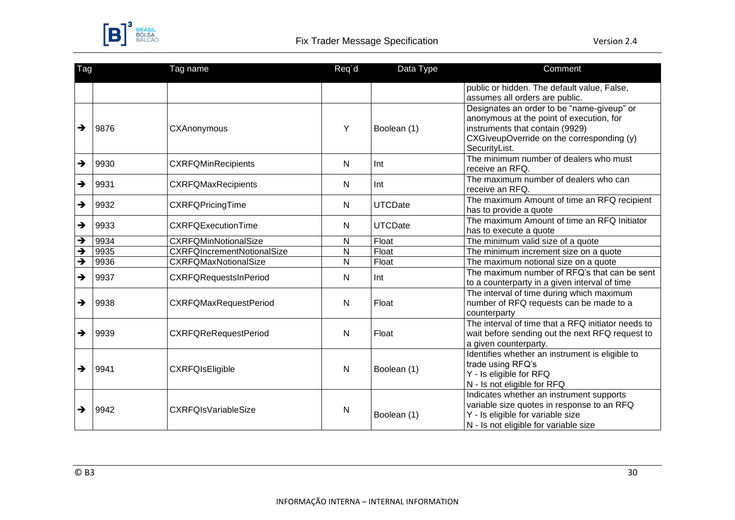

| Tag                      |      | Tag name                          | Req'd                   | Data Type      | Comment                                                                                                                                                                                 |
|--------------------------|------|-----------------------------------|-------------------------|----------------|-----------------------------------------------------------------------------------------------------------------------------------------------------------------------------------------|
|                          |      |                                   |                         |                | public or hidden. The default value, False,<br>assumes all orders are public.                                                                                                           |
| →                        | 9876 | CXAnonymous                       | Y                       | Boolean (1)    | Designates an order to be "name-giveup" or<br>anonymous at the point of execution, for<br>instruments that contain (9929)<br>CXGiveupOverride on the corresponding (y)<br>SecurityList. |
| $\rightarrow$            | 9930 | <b>CXRFQMinRecipients</b>         | N                       | Int            | The minimum number of dealers who must<br>receive an RFQ.                                                                                                                               |
| →                        | 9931 | <b>CXRFQMaxRecipients</b>         | N                       | Int            | The maximum number of dealers who can<br>receive an RFQ.                                                                                                                                |
| →                        | 9932 | <b>CXRFQPricingTime</b>           | N                       | <b>UTCDate</b> | The maximum Amount of time an RFQ recipient<br>has to provide a quote                                                                                                                   |
| →                        | 9933 | <b>CXRFQExecutionTime</b>         | N                       | <b>UTCDate</b> | The maximum Amount of time an RFQ Initiator<br>has to execute a quote                                                                                                                   |
| $\rightarrow$            | 9934 | <b>CXRFQMinNotionalSize</b>       | N                       | Float          | The minimum valid size of a quote                                                                                                                                                       |
| $\rightarrow$            | 9935 | <b>CXRFQIncrementNotionalSize</b> | $\overline{\mathsf{N}}$ | Float          | The minimum increment size on a quote                                                                                                                                                   |
| $\overline{\rightarrow}$ | 9936 | <b>CXRFQMaxNotionalSize</b>       | N                       | Float          | The maximum notional size on a quote                                                                                                                                                    |
| $\rightarrow$            | 9937 | <b>CXRFQRequestsInPeriod</b>      | N                       | Int            | The maximum number of RFQ's that can be sent<br>to a counterparty in a given interval of time                                                                                           |
| →                        | 9938 | <b>CXRFQMaxRequestPeriod</b>      | N                       | Float          | The interval of time during which maximum<br>number of RFQ requests can be made to a<br>counterparty                                                                                    |
| →                        | 9939 | <b>CXRFQReRequestPeriod</b>       | N                       | Float          | The interval of time that a RFQ initiator needs to<br>wait before sending out the next RFQ request to<br>a given counterparty.                                                          |
| →                        | 9941 | <b>CXRFQIsEligible</b>            | N                       | Boolean (1)    | Identifies whether an instrument is eligible to<br>trade using RFQ's<br>Y - Is eligible for RFQ<br>N - Is not eligible for RFQ                                                          |
| →                        | 9942 | <b>CXRFQIsVariableSize</b>        | N                       | Boolean (1)    | Indicates whether an instrument supports<br>variable size quotes in response to an RFQ<br>Y - Is eligible for variable size<br>N - Is not eligible for variable size                    |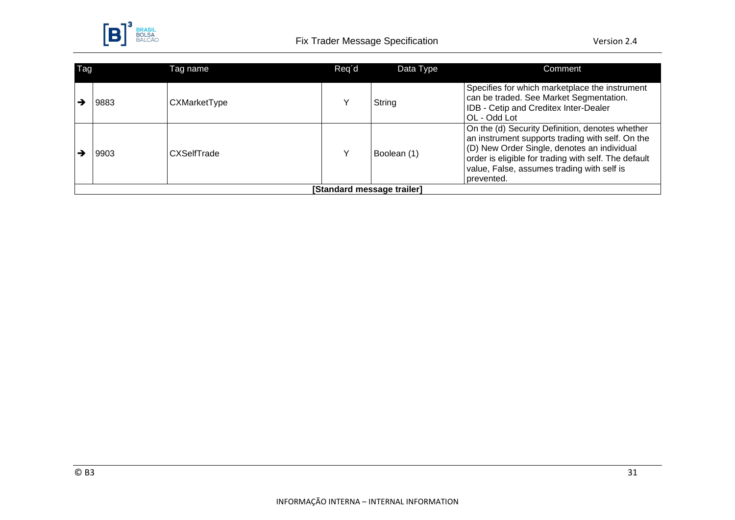

| Tag |                            | Tag name            | Req'd | Data Type   | Comment                                                                                                                                                                                                                                                                |  |
|-----|----------------------------|---------------------|-------|-------------|------------------------------------------------------------------------------------------------------------------------------------------------------------------------------------------------------------------------------------------------------------------------|--|
|     | 9883                       | <b>CXMarketType</b> |       | String      | Specifies for which marketplace the instrument<br>can be traded. See Market Segmentation.<br>IDB - Cetip and Creditex Inter-Dealer<br>OL - Odd Lot                                                                                                                     |  |
|     | 9903                       | <b>CXSelfTrade</b>  |       | Boolean (1) | On the (d) Security Definition, denotes whether<br>an instrument supports trading with self. On the<br>(D) New Order Single, denotes an individual<br>order is eligible for trading with self. The default<br>value, False, assumes trading with self is<br>prevented. |  |
|     | [Standard message trailer] |                     |       |             |                                                                                                                                                                                                                                                                        |  |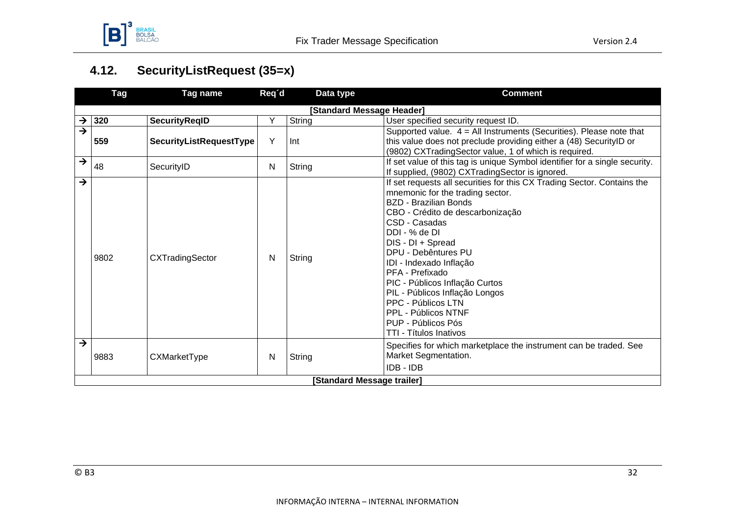

## <span id="page-31-0"></span>**4.12. SecurityListRequest (35=x)**

|                          | <b>Tag</b>                 | Tag name                | Req'd | Data type | <b>Comment</b>                                                                                                                                                                                                                                                                                                                                                                                                                                                               |  |  |
|--------------------------|----------------------------|-------------------------|-------|-----------|------------------------------------------------------------------------------------------------------------------------------------------------------------------------------------------------------------------------------------------------------------------------------------------------------------------------------------------------------------------------------------------------------------------------------------------------------------------------------|--|--|
|                          | [Standard Message Header]  |                         |       |           |                                                                                                                                                                                                                                                                                                                                                                                                                                                                              |  |  |
| →                        | 320                        | <b>SecurityRegID</b>    | Υ     | String    | User specified security request ID.                                                                                                                                                                                                                                                                                                                                                                                                                                          |  |  |
| $\overline{\rightarrow}$ | 559                        | SecurityListRequestType | Y     | Int       | Supported value. $4 =$ All Instruments (Securities). Please note that<br>this value does not preclude providing either a (48) SecurityID or<br>(9802) CXTradingSector value, 1 of which is required.                                                                                                                                                                                                                                                                         |  |  |
| $\rightarrow$            | 48                         | SecurityID              | N     | String    | If set value of this tag is unique Symbol identifier for a single security.<br>If supplied, (9802) CXTradingSector is ignored.                                                                                                                                                                                                                                                                                                                                               |  |  |
| $\rightarrow$            | 9802                       | CXTradingSector         | N     | String    | If set requests all securities for this CX Trading Sector. Contains the<br>mnemonic for the trading sector.<br><b>BZD - Brazilian Bonds</b><br>CBO - Crédito de descarbonização<br>CSD - Casadas<br>DDI - % de DI<br>DIS - DI + Spread<br>DPU - Debêntures PU<br>IDI - Indexado Inflação<br>PFA - Prefixado<br>PIC - Públicos Inflação Curtos<br>PIL - Públicos Inflação Longos<br>PPC - Públicos LTN<br>PPL - Públicos NTNF<br>PUP - Públicos Pós<br>TTI - Títulos Inativos |  |  |
| $\overline{\rightarrow}$ | 9883                       | CXMarketType            | N     | String    | Specifies for which marketplace the instrument can be traded. See<br>Market Segmentation.<br>IDB - IDB                                                                                                                                                                                                                                                                                                                                                                       |  |  |
|                          | [Standard Message trailer] |                         |       |           |                                                                                                                                                                                                                                                                                                                                                                                                                                                                              |  |  |